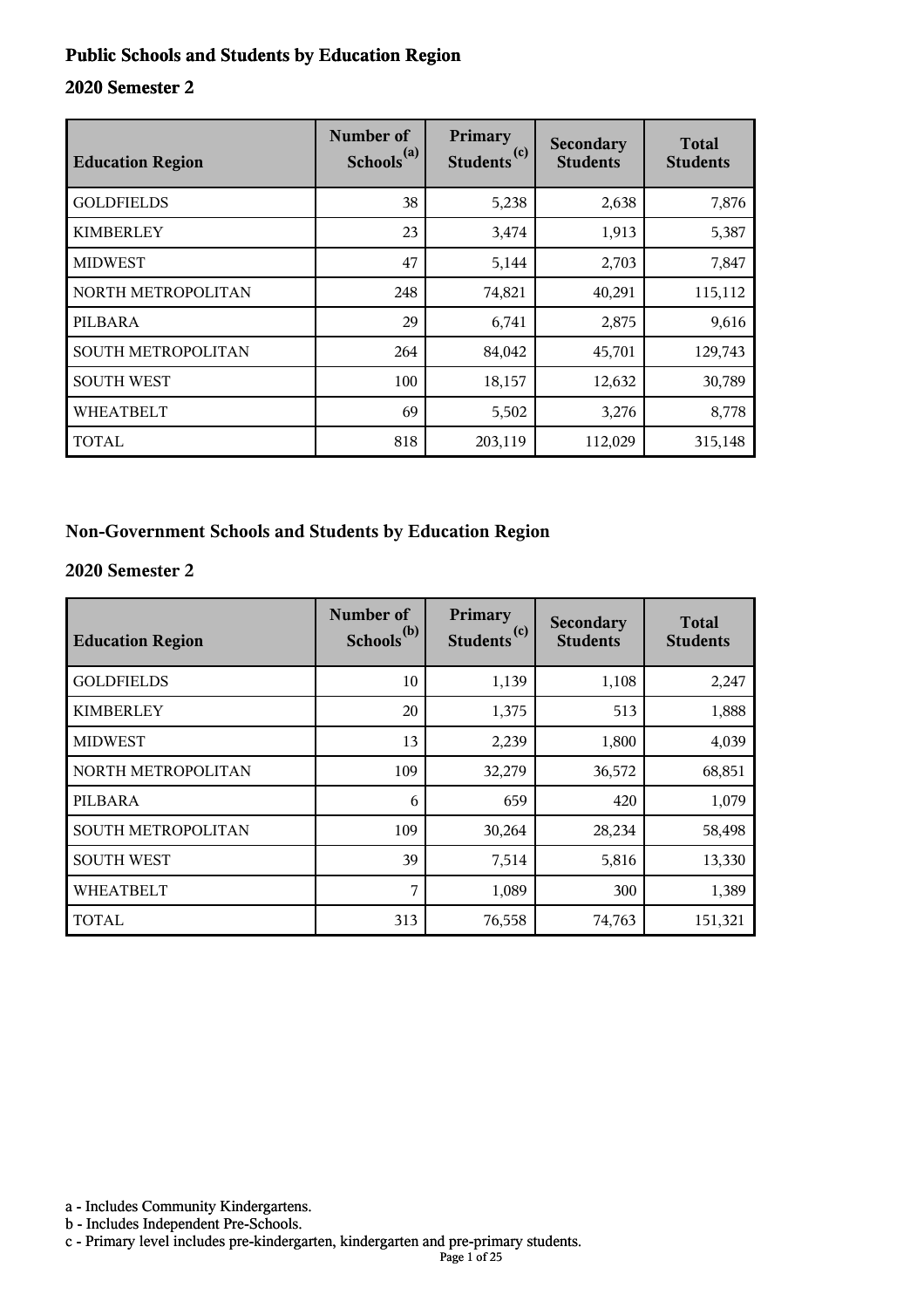#### **Public Schools and Students by Education Region**

#### **2020 Semester 2**

| <b>Education Region</b> | Number of<br>Schools <sup>(a)</sup> | Primary<br>(c)<br><b>Students</b> | Secondary<br><b>Students</b> | <b>Total</b><br><b>Students</b> |
|-------------------------|-------------------------------------|-----------------------------------|------------------------------|---------------------------------|
| <b>GOLDFIELDS</b>       | 38                                  | 5,238                             | 2,638                        | 7,876                           |
| <b>KIMBERLEY</b>        | 23                                  | 3,474                             | 1,913                        | 5,387                           |
| <b>MIDWEST</b>          | 47                                  | 5,144                             | 2,703                        | 7,847                           |
| NORTH METROPOLITAN      | 248                                 | 74,821                            | 40,291                       | 115,112                         |
| PILBARA                 | 29                                  | 6,741                             | 2,875                        | 9,616                           |
| SOUTH METROPOLITAN      | 264                                 | 84,042                            | 45,701                       | 129,743                         |
| <b>SOUTH WEST</b>       | 100                                 | 18,157                            | 12,632                       | 30,789                          |
| <b>WHEATBELT</b>        | 69                                  | 5,502                             | 3,276                        | 8,778                           |
| TOTAL                   | 818                                 | 203,119                           | 112,029                      | 315,148                         |

#### **Non-Government Schools and Students by Education Region**

#### **2020 Semester 2**

| <b>Education Region</b> | Number of<br>Schools <sup>(b)</sup> | Primary<br>Students <sup>(c)</sup> | <b>Secondary</b><br><b>Students</b> | <b>Total</b><br><b>Students</b> |
|-------------------------|-------------------------------------|------------------------------------|-------------------------------------|---------------------------------|
| <b>GOLDFIELDS</b>       | 10                                  | 1,139                              | 1,108                               | 2,247                           |
| <b>KIMBERLEY</b>        | 20                                  | 1,375                              | 513                                 | 1,888                           |
| <b>MIDWEST</b>          | 13                                  | 2,239                              | 1,800                               | 4,039                           |
| NORTH METROPOLITAN      | 109                                 | 32,279                             | 36,572                              | 68,851                          |
| PILBARA                 | 6                                   | 659                                | 420                                 | 1,079                           |
| SOUTH METROPOLITAN      | 109                                 | 30,264                             | 28,234                              | 58,498                          |
| <b>SOUTH WEST</b>       | 39                                  | 7,514                              | 5,816                               | 13,330                          |
| <b>WHEATBELT</b>        | 7                                   | 1,089                              | 300                                 | 1,389                           |
| <b>TOTAL</b>            | 313                                 | 76,558                             | 74,763                              | 151,321                         |

a - Includes Community Kindergartens.

b - Includes Independent Pre-Schools.

c - Primary level includes pre-kindergarten, kindergarten and pre-primary students.

Page 1 of 25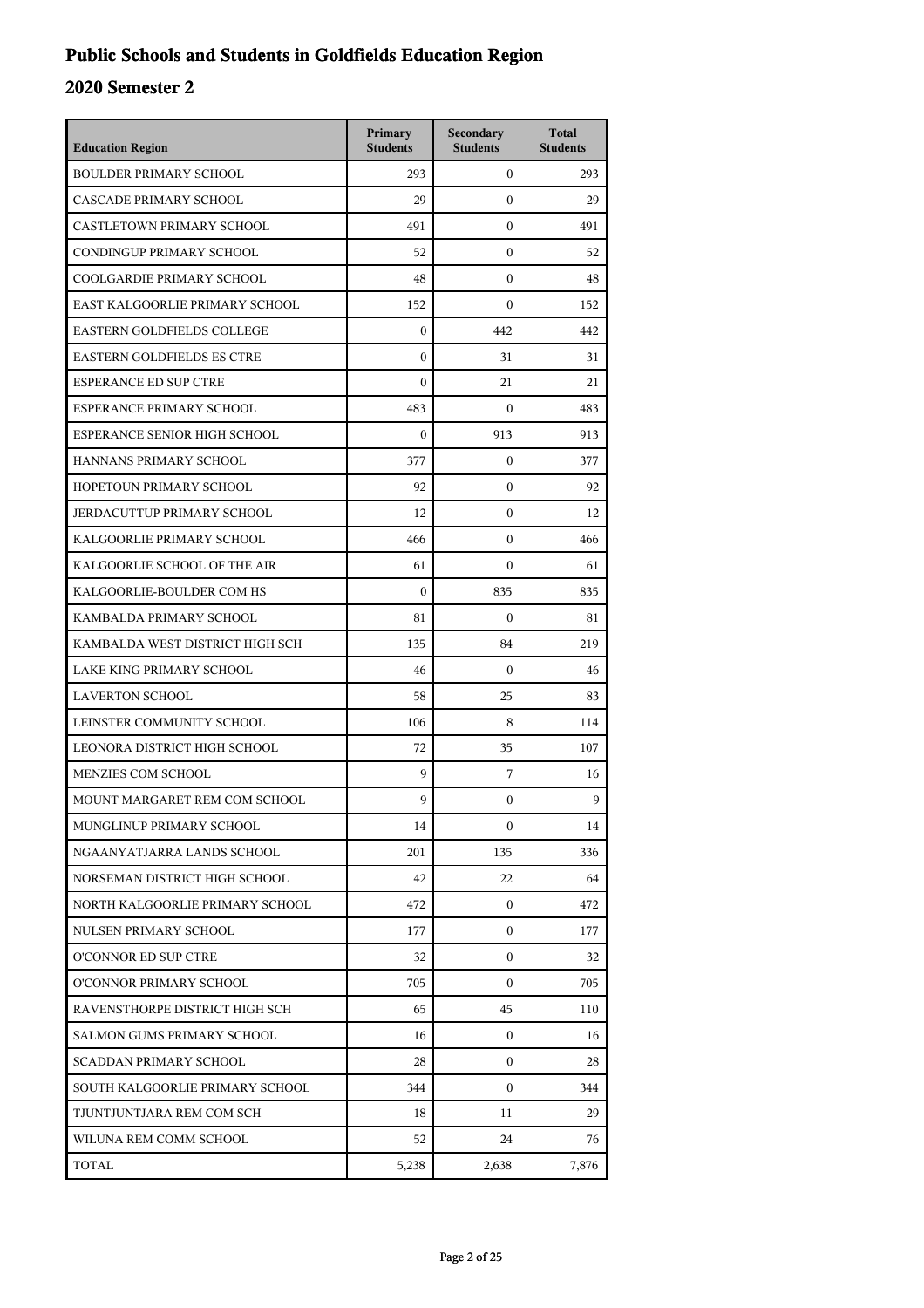## **Public Schools and Students in Goldfields Education Region**

| <b>Education Region</b>           | Primary<br><b>Students</b> | Secondary<br><b>Students</b> | <b>Total</b><br><b>Students</b> |
|-----------------------------------|----------------------------|------------------------------|---------------------------------|
| <b>BOULDER PRIMARY SCHOOL</b>     | 293                        | $\mathbf{0}$                 | 293                             |
| CASCADE PRIMARY SCHOOL            | 29                         | $\mathbf{0}$                 | 29                              |
| CASTLETOWN PRIMARY SCHOOL         | 491                        | $\boldsymbol{0}$             | 491                             |
| CONDINGUP PRIMARY SCHOOL          | 52                         | $\boldsymbol{0}$             | 52                              |
| COOLGARDIE PRIMARY SCHOOL         | 48                         | $\boldsymbol{0}$             | 48                              |
| EAST KALGOORLIE PRIMARY SCHOOL    | 152                        | $\mathbf{0}$                 | 152                             |
| EASTERN GOLDFIELDS COLLEGE        | $\mathbf{0}$               | 442                          | 442                             |
| <b>EASTERN GOLDFIELDS ES CTRE</b> | $\boldsymbol{0}$           | 31                           | 31                              |
| <b>ESPERANCE ED SUP CTRE</b>      | $\boldsymbol{0}$           | 21                           | 21                              |
| ESPERANCE PRIMARY SCHOOL          | 483                        | $\boldsymbol{0}$             | 483                             |
| ESPERANCE SENIOR HIGH SCHOOL      | $\mathbf{0}$               | 913                          | 913                             |
| HANNANS PRIMARY SCHOOL            | 377                        | $\boldsymbol{0}$             | 377                             |
| HOPETOUN PRIMARY SCHOOL           | 92                         | $\boldsymbol{0}$             | 92                              |
| JERDACUTTUP PRIMARY SCHOOL        | 12                         | $\boldsymbol{0}$             | 12                              |
| KALGOORLIE PRIMARY SCHOOL         | 466                        | $\boldsymbol{0}$             | 466                             |
| KALGOORLIE SCHOOL OF THE AIR      | 61                         | $\Omega$                     | 61                              |
| KALGOORLIE-BOULDER COM HS         | $\theta$                   | 835                          | 835                             |
| KAMBALDA PRIMARY SCHOOL           | 81                         | $\mathbf{0}$                 | 81                              |
| KAMBALDA WEST DISTRICT HIGH SCH   | 135                        | 84                           | 219                             |
| LAKE KING PRIMARY SCHOOL          | 46                         | $\mathbf{0}$                 | 46                              |
| <b>LAVERTON SCHOOL</b>            | 58                         | 25                           | 83                              |
| LEINSTER COMMUNITY SCHOOL         | 106                        | 8                            | 114                             |
| LEONORA DISTRICT HIGH SCHOOL      | 72                         | 35                           | 107                             |
| <b>MENZIES COM SCHOOL</b>         | 9                          | 7                            | 16                              |
| MOUNT MARGARET REM COM SCHOOL     | 9                          | $\mathbf{0}$                 | 9                               |
| MUNGLINUP PRIMARY SCHOOL          | 14                         | 0                            | 14                              |
| NGAANYATJARRA LANDS SCHOOL        | 201                        | 135                          | 336                             |
| NORSEMAN DISTRICT HIGH SCHOOL     | 42                         | 22                           | 64                              |
| NORTH KALGOORLIE PRIMARY SCHOOL   | 472                        | $\mathbf{0}$                 | 472                             |
| NULSEN PRIMARY SCHOOL             | 177                        | 0                            | 177                             |
| <b>O'CONNOR ED SUP CTRE</b>       | 32                         | $\mathbf{0}$                 | 32                              |
| O'CONNOR PRIMARY SCHOOL           | 705                        | $\mathbf{0}$                 | 705                             |
| RAVENSTHORPE DISTRICT HIGH SCH    | 65                         | 45                           | 110                             |
| SALMON GUMS PRIMARY SCHOOL        | 16                         | $\mathbf{0}$                 | 16                              |
| <b>SCADDAN PRIMARY SCHOOL</b>     | 28                         | $\mathbf{0}$                 | 28                              |
| SOUTH KALGOORLIE PRIMARY SCHOOL   | 344                        | 0                            | 344                             |
| TJUNTJUNTJARA REM COM SCH         | 18                         | 11                           | 29                              |
| WILUNA REM COMM SCHOOL            | 52                         | 24                           | 76                              |
| TOTAL                             | 5,238                      | 2,638                        | 7,876                           |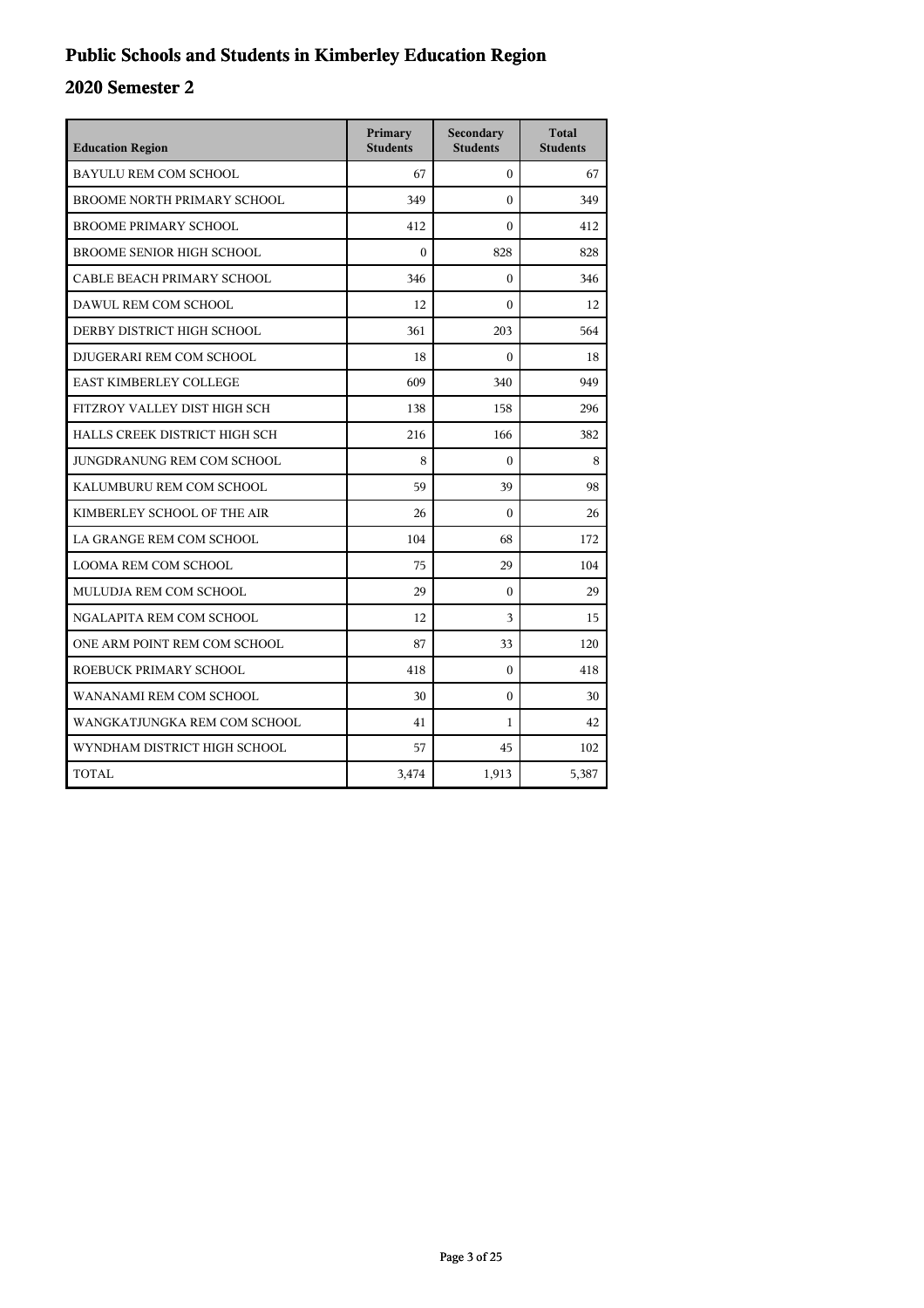## **Public Schools and Students in Kimberley Education Region**

| <b>Education Region</b>            | Primary<br><b>Students</b> | Secondary<br><b>Students</b> | <b>Total</b><br><b>Students</b> |
|------------------------------------|----------------------------|------------------------------|---------------------------------|
| <b>BAYULU REM COM SCHOOL</b>       | 67                         | $\Omega$                     | 67                              |
| <b>BROOME NORTH PRIMARY SCHOOL</b> | 349                        | $\theta$                     | 349                             |
| <b>BROOME PRIMARY SCHOOL</b>       | 412                        | $\Omega$                     | 412                             |
| <b>BROOME SENIOR HIGH SCHOOL</b>   | $\theta$                   | 828                          | 828                             |
| CABLE BEACH PRIMARY SCHOOL         | 346                        | $\theta$                     | 346                             |
| DAWUL REM COM SCHOOL               | 12                         | $\theta$                     | 12                              |
| DERBY DISTRICT HIGH SCHOOL         | 361                        | 203                          | 564                             |
| DJUGERARI REM COM SCHOOL           | 18                         | $\Omega$                     | 18                              |
| <b>EAST KIMBERLEY COLLEGE</b>      | 609                        | 340                          | 949                             |
| FITZROY VALLEY DIST HIGH SCH       | 138                        | 158                          | 296                             |
| HALLS CREEK DISTRICT HIGH SCH      | 216                        | 166                          | 382                             |
| JUNGDRANUNG REM COM SCHOOL         | 8                          | $\Omega$                     | 8                               |
| KALUMBURU REM COM SCHOOL           | 59                         | 39                           | 98                              |
| KIMBERLEY SCHOOL OF THE AIR        | 26                         | $\mathbf{0}$                 | 26                              |
| LA GRANGE REM COM SCHOOL           | 104                        | 68                           | 172                             |
| <b>LOOMA REM COM SCHOOL</b>        | 75                         | 29                           | 104                             |
| MULUDJA REM COM SCHOOL             | 29                         | $\theta$                     | 29                              |
| NGALAPITA REM COM SCHOOL           | 12                         | 3                            | 15                              |
| ONE ARM POINT REM COM SCHOOL       | 87                         | 33                           | 120                             |
| ROEBUCK PRIMARY SCHOOL             | 418                        | $\theta$                     | 418                             |
| WANANAMI REM COM SCHOOL            | 30                         | $\mathbf{0}$                 | 30                              |
| WANGKATJUNGKA REM COM SCHOOL       | 41                         | 1                            | 42                              |
| WYNDHAM DISTRICT HIGH SCHOOL       | 57                         | 45                           | 102                             |
| <b>TOTAL</b>                       | 3,474                      | 1,913                        | 5,387                           |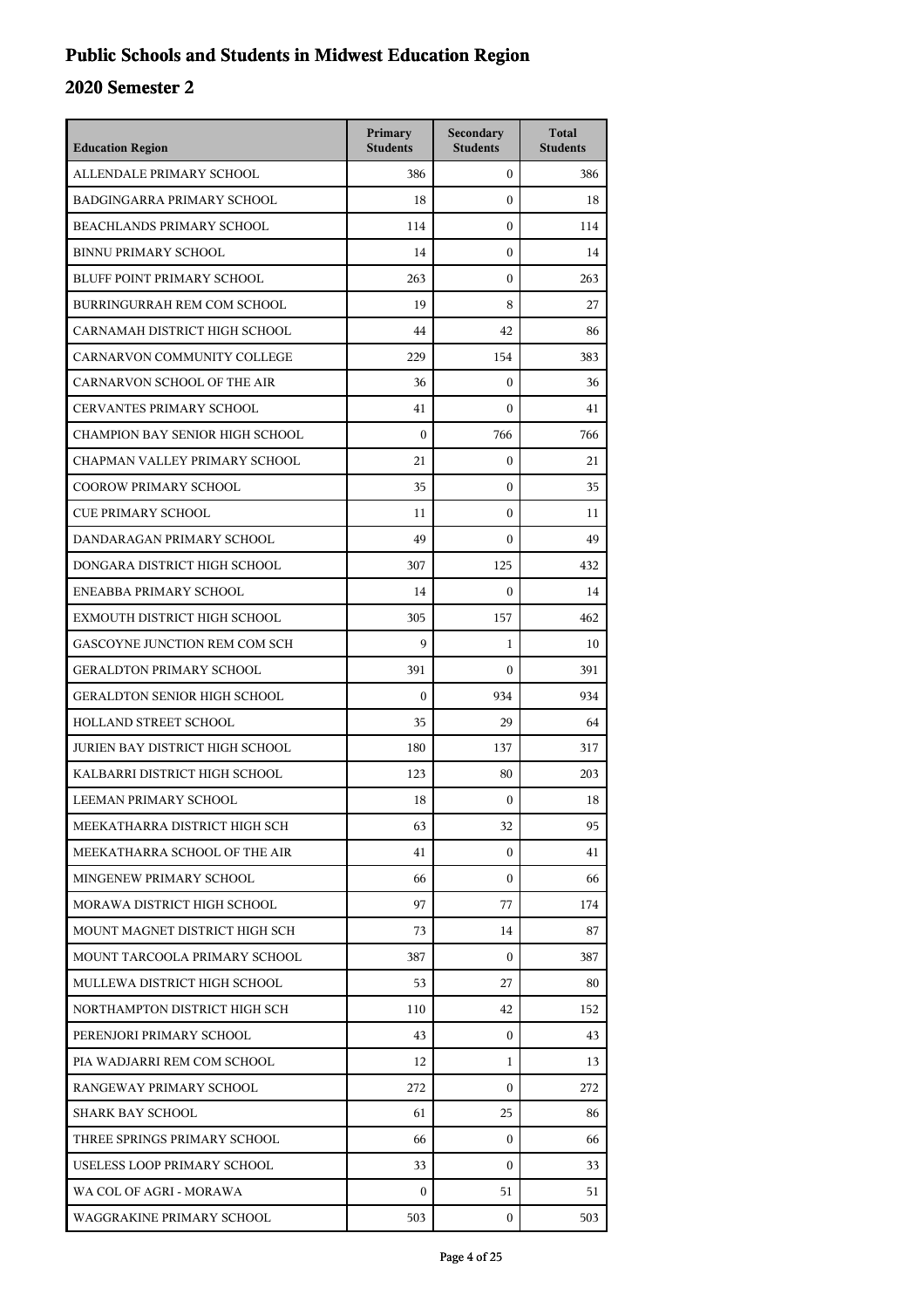## **Public Schools and Students in Midwest Education Region**

| <b>Education Region</b>             | Primary<br><b>Students</b> | Secondary<br><b>Students</b> | <b>Total</b><br><b>Students</b> |
|-------------------------------------|----------------------------|------------------------------|---------------------------------|
| ALLENDALE PRIMARY SCHOOL            | 386                        | $\mathbf{0}$                 | 386                             |
| BADGINGARRA PRIMARY SCHOOL          | 18                         | $\mathbf{0}$                 | 18                              |
| BEACHLANDS PRIMARY SCHOOL           | 114                        | $\mathbf{0}$                 | 114                             |
| <b>BINNU PRIMARY SCHOOL</b>         | 14                         | $\mathbf{0}$                 | 14                              |
| BLUFF POINT PRIMARY SCHOOL          | 263                        | $\mathbf{0}$                 | 263                             |
| BURRINGURRAH REM COM SCHOOL         | 19                         | 8                            | 27                              |
| CARNAMAH DISTRICT HIGH SCHOOL       | 44                         | 42                           | 86                              |
| CARNARVON COMMUNITY COLLEGE         | 229                        | 154                          | 383                             |
| CARNARVON SCHOOL OF THE AIR         | 36                         | $\mathbf{0}$                 | 36                              |
| <b>CERVANTES PRIMARY SCHOOL</b>     | 41                         | $\mathbf{0}$                 | 41                              |
| CHAMPION BAY SENIOR HIGH SCHOOL     | $\mathbf{0}$               | 766                          | 766                             |
| CHAPMAN VALLEY PRIMARY SCHOOL       | 21                         | $\mathbf{0}$                 | 21                              |
| <b>COOROW PRIMARY SCHOOL</b>        | 35                         | $\mathbf{0}$                 | 35                              |
| <b>CUE PRIMARY SCHOOL</b>           | 11                         | $\mathbf{0}$                 | 11                              |
| DANDARAGAN PRIMARY SCHOOL           | 49                         | $\mathbf{0}$                 | 49                              |
| DONGARA DISTRICT HIGH SCHOOL        | 307                        | 125                          | 432                             |
| ENEABBA PRIMARY SCHOOL              | 14                         | $\mathbf{0}$                 | 14                              |
| EXMOUTH DISTRICT HIGH SCHOOL        | 305                        | 157                          | 462                             |
| GASCOYNE JUNCTION REM COM SCH       | 9                          | $\mathbf{1}$                 | 10                              |
| <b>GERALDTON PRIMARY SCHOOL</b>     | 391                        | $\Omega$                     | 391                             |
| <b>GERALDTON SENIOR HIGH SCHOOL</b> | $\mathbf{0}$               | 934                          | 934                             |
| HOLLAND STREET SCHOOL               | 35                         | 29                           | 64                              |
| JURIEN BAY DISTRICT HIGH SCHOOL     | 180                        | 137                          | 317                             |
| KALBARRI DISTRICT HIGH SCHOOL       | 123                        | 80                           | 203                             |
| LEEMAN PRIMARY SCHOOL               | 18                         | $\mathbf{0}$                 | 18                              |
| MEEKATHARRA DISTRICT HIGH SCH       | 63                         | 32                           | 95                              |
| MEEKATHARRA SCHOOL OF THE AIR       | 41                         | $\mathbf{0}$                 | 41                              |
| MINGENEW PRIMARY SCHOOL             | 66                         | $\overline{0}$               | 66                              |
| MORAWA DISTRICT HIGH SCHOOL         | 97                         | 77                           | 174                             |
| MOUNT MAGNET DISTRICT HIGH SCH      | 73                         | 14                           | 87                              |
| MOUNT TARCOOLA PRIMARY SCHOOL       | 387                        | $\Omega$                     | 387                             |
| MULLEWA DISTRICT HIGH SCHOOL        | 53                         | 27                           | 80                              |
| NORTHAMPTON DISTRICT HIGH SCH       | 110                        | 42                           | 152                             |
| PERENJORI PRIMARY SCHOOL            | 43                         | $\mathbf{0}$                 | 43                              |
| PIA WADJARRI REM COM SCHOOL         | 12                         | 1                            | 13                              |
| RANGEWAY PRIMARY SCHOOL             | 272                        | $\Omega$                     | 272                             |
| SHARK BAY SCHOOL                    | 61                         | 25                           | 86                              |
| THREE SPRINGS PRIMARY SCHOOL        | 66                         | $\overline{0}$               | 66                              |
| USELESS LOOP PRIMARY SCHOOL         | 33                         | $\overline{0}$               | 33                              |
| WA COL OF AGRI - MORAWA             | 0                          | 51                           | 51                              |
| WAGGRAKINE PRIMARY SCHOOL           | 503                        | $\overline{0}$               | 503                             |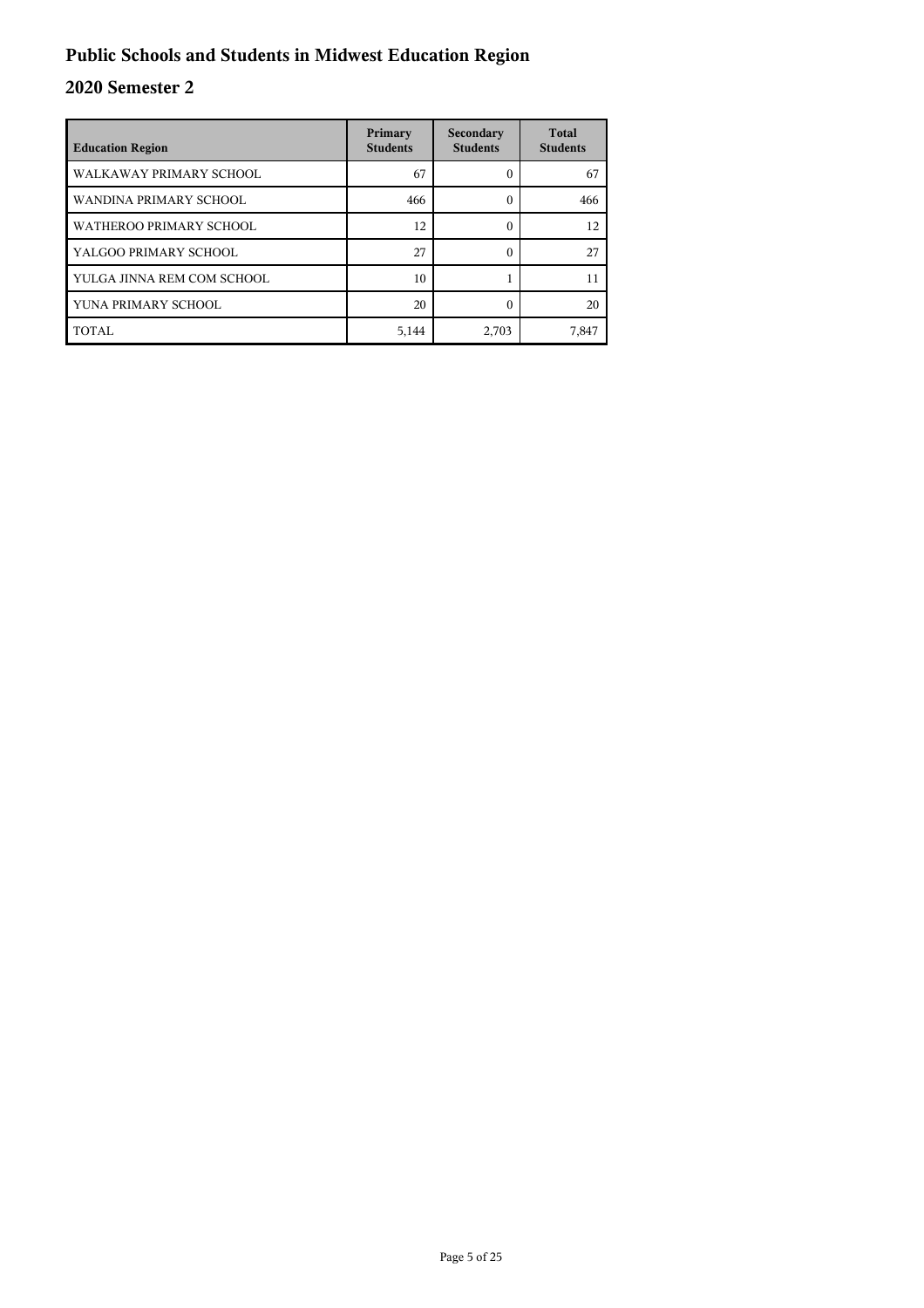## **Public Schools and Students in Midwest Education Region**

| <b>Education Region</b>    | Primary<br><b>Students</b> | Secondary<br><b>Students</b> | <b>Total</b><br><b>Students</b> |
|----------------------------|----------------------------|------------------------------|---------------------------------|
| WALKAWAY PRIMARY SCHOOL    | 67                         |                              | 67                              |
| WANDINA PRIMARY SCHOOL     | 466                        | 0                            | 466                             |
| WATHEROO PRIMARY SCHOOL    | 12                         | 0                            | 12                              |
| YALGOO PRIMARY SCHOOL      | 27                         | 0                            | 27                              |
| YULGA JINNA REM COM SCHOOL | 10                         |                              | 11                              |
| YUNA PRIMARY SCHOOL        | 20                         |                              | 20                              |
| TOTAL                      | 5,144                      | 2,703                        | 7,847                           |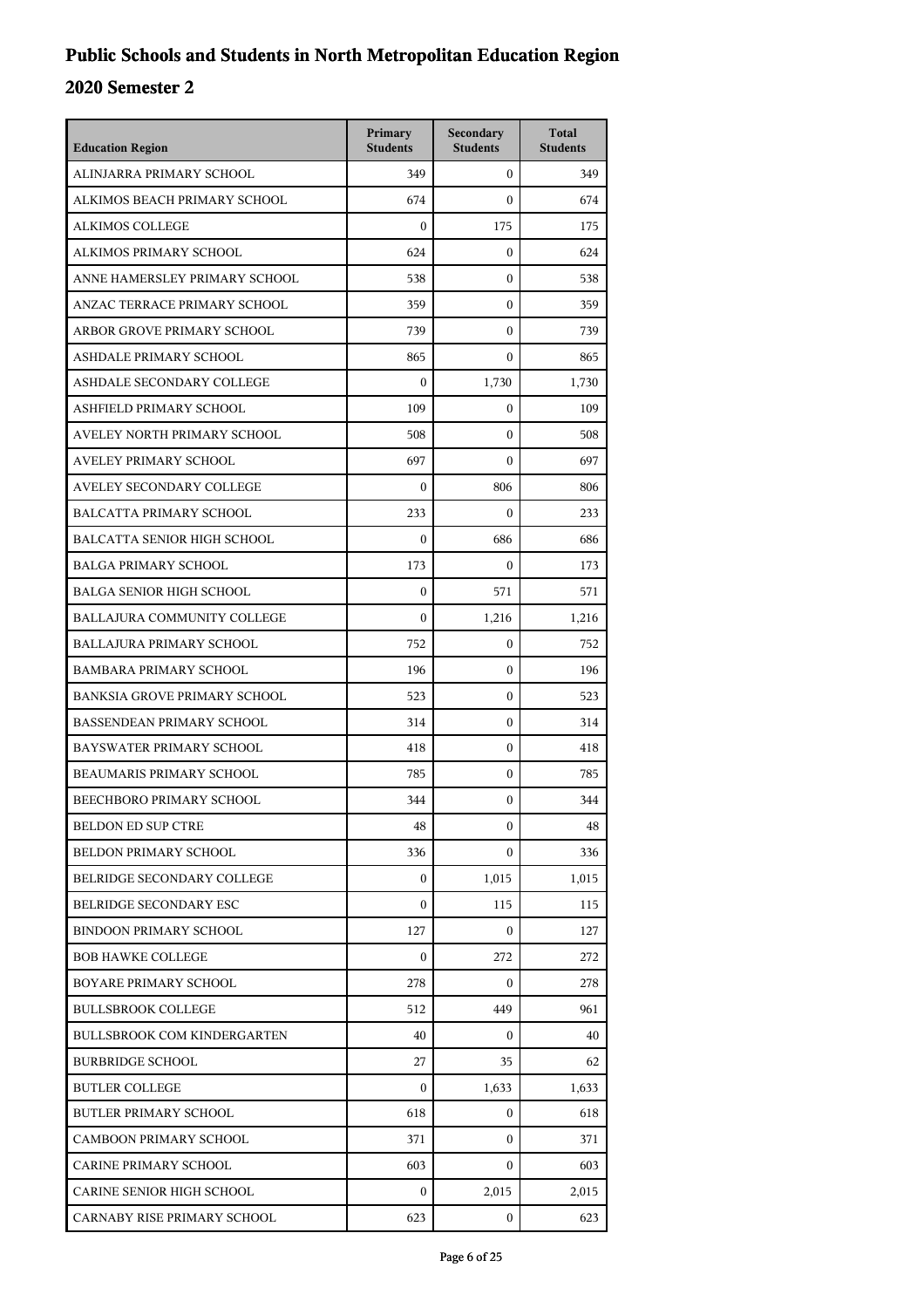| <b>Education Region</b>             | Primary<br><b>Students</b> | Secondary<br><b>Students</b> | <b>Total</b><br><b>Students</b> |
|-------------------------------------|----------------------------|------------------------------|---------------------------------|
| ALINJARRA PRIMARY SCHOOL            | 349                        | $\mathbf{0}$                 | 349                             |
| ALKIMOS BEACH PRIMARY SCHOOL        | 674                        | $\Omega$                     | 674                             |
| <b>ALKIMOS COLLEGE</b>              | $\boldsymbol{0}$           | 175                          | 175                             |
| ALKIMOS PRIMARY SCHOOL              | 624                        | $\mathbf{0}$                 | 624                             |
| ANNE HAMERSLEY PRIMARY SCHOOL       | 538                        | $\mathbf{0}$                 | 538                             |
| ANZAC TERRACE PRIMARY SCHOOL        | 359                        | $\mathbf{0}$                 | 359                             |
| ARBOR GROVE PRIMARY SCHOOL          | 739                        | $\mathbf{0}$                 | 739                             |
| ASHDALE PRIMARY SCHOOL              | 865                        | $\mathbf{0}$                 | 865                             |
| ASHDALE SECONDARY COLLEGE           | $\boldsymbol{0}$           | 1,730                        | 1,730                           |
| ASHFIELD PRIMARY SCHOOL             | 109                        | $\mathbf{0}$                 | 109                             |
| AVELEY NORTH PRIMARY SCHOOL         | 508                        | $\mathbf{0}$                 | 508                             |
| <b>AVELEY PRIMARY SCHOOL</b>        | 697                        | $\theta$                     | 697                             |
| AVELEY SECONDARY COLLEGE            | $\boldsymbol{0}$           | 806                          | 806                             |
| <b>BALCATTA PRIMARY SCHOOL</b>      | 233                        | $\boldsymbol{0}$             | 233                             |
| <b>BALCATTA SENIOR HIGH SCHOOL</b>  | $\Omega$                   | 686                          | 686                             |
| <b>BALGA PRIMARY SCHOOL</b>         | 173                        | $\mathbf{0}$                 | 173                             |
| <b>BALGA SENIOR HIGH SCHOOL</b>     | $\mathbf{0}$               | 571                          | 571                             |
| BALLAJURA COMMUNITY COLLEGE         | $\boldsymbol{0}$           | 1,216                        | 1,216                           |
| <b>BALLAJURA PRIMARY SCHOOL</b>     | 752                        | $\mathbf{0}$                 | 752                             |
| <b>BAMBARA PRIMARY SCHOOL</b>       | 196                        | $\boldsymbol{0}$             | 196                             |
| <b>BANKSIA GROVE PRIMARY SCHOOL</b> | 523                        | $\mathbf{0}$                 | 523                             |
| <b>BASSENDEAN PRIMARY SCHOOL</b>    | 314                        | $\mathbf{0}$                 | 314                             |
| BAYSWATER PRIMARY SCHOOL            | 418                        | $\mathbf{0}$                 | 418                             |
| BEAUMARIS PRIMARY SCHOOL            | 785                        | $\boldsymbol{0}$             | 785                             |
| <b>BEECHBORO PRIMARY SCHOOL</b>     | 344                        | $\boldsymbol{0}$             | 344                             |
| <b>BELDON ED SUP CTRE</b>           | 48                         | $\boldsymbol{0}$             | 48                              |
| <b>BELDON PRIMARY SCHOOL</b>        | 336                        | $\Omega$                     | 336                             |
| BELRIDGE SECONDARY COLLEGE          | $\boldsymbol{0}$           | 1,015                        | 1,015                           |
| BELRIDGE SECONDARY ESC              | $\boldsymbol{0}$           | 115                          | 115                             |
| <b>BINDOON PRIMARY SCHOOL</b>       | 127                        | $\Omega$                     | 127                             |
| <b>BOB HAWKE COLLEGE</b>            | $\Omega$                   | 272                          | 272                             |
| BOYARE PRIMARY SCHOOL               | 278                        | $\Omega$                     | 278                             |
| <b>BULLSBROOK COLLEGE</b>           | 512                        | 449                          | 961                             |
| <b>BULLSBROOK COM KINDERGARTEN</b>  | 40                         | $\mathbf{0}$                 | 40                              |
| <b>BURBRIDGE SCHOOL</b>             | 27                         | 35                           | 62                              |
| <b>BUTLER COLLEGE</b>               | $\Omega$                   | 1,633                        | 1,633                           |
| <b>BUTLER PRIMARY SCHOOL</b>        | 618                        | 0                            | 618                             |
| <b>CAMBOON PRIMARY SCHOOL</b>       | 371                        | $\overline{0}$               | 371                             |
| <b>CARINE PRIMARY SCHOOL</b>        | 603                        | $\mathbf{0}$                 | 603                             |
| CARINE SENIOR HIGH SCHOOL           | 0                          | 2,015                        | 2,015                           |
| CARNABY RISE PRIMARY SCHOOL         | 623                        | $\overline{0}$               | 623                             |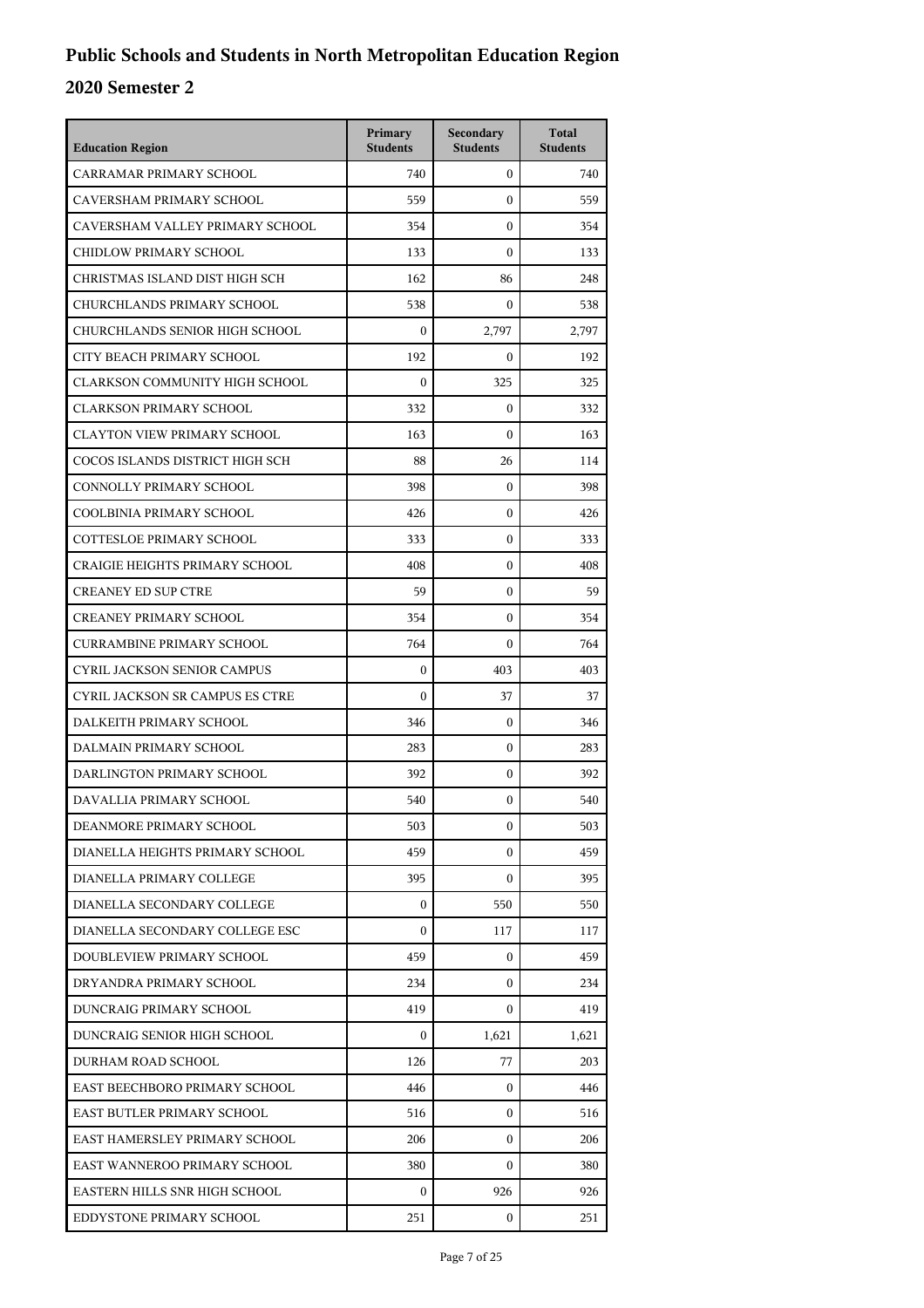| <b>Education Region</b>               | Primary<br><b>Students</b> | Secondary<br><b>Students</b> | <b>Total</b><br><b>Students</b> |
|---------------------------------------|----------------------------|------------------------------|---------------------------------|
| CARRAMAR PRIMARY SCHOOL               | 740                        | $\mathbf{0}$                 | 740                             |
| CAVERSHAM PRIMARY SCHOOL              | 559                        | $\mathbf{0}$                 | 559                             |
| CAVERSHAM VALLEY PRIMARY SCHOOL       | 354                        | $\mathbf{0}$                 | 354                             |
| CHIDLOW PRIMARY SCHOOL                | 133                        | $\Omega$                     | 133                             |
| CHRISTMAS ISLAND DIST HIGH SCH        | 162                        | 86                           | 248                             |
| CHURCHLANDS PRIMARY SCHOOL            | 538                        | $\overline{0}$               | 538                             |
| CHURCHLANDS SENIOR HIGH SCHOOL        | $\mathbf{0}$               | 2.797                        | 2,797                           |
| CITY BEACH PRIMARY SCHOOL             | 192                        | $\mathbf{0}$                 | 192                             |
| CLARKSON COMMUNITY HIGH SCHOOL        | $\boldsymbol{0}$           | 325                          | 325                             |
| <b>CLARKSON PRIMARY SCHOOL</b>        | 332                        | $\mathbf{0}$                 | 332                             |
| <b>CLAYTON VIEW PRIMARY SCHOOL</b>    | 163                        | $\mathbf{0}$                 | 163                             |
| COCOS ISLANDS DISTRICT HIGH SCH       | 88                         | 26                           | 114                             |
| CONNOLLY PRIMARY SCHOOL               | 398                        | $\mathbf{0}$                 | 398                             |
| COOLBINIA PRIMARY SCHOOL              | 426                        | $\mathbf{0}$                 | 426                             |
| <b>COTTESLOE PRIMARY SCHOOL</b>       | 333                        | $\mathbf{0}$                 | 333                             |
| <b>CRAIGIE HEIGHTS PRIMARY SCHOOL</b> | 408                        | $\mathbf{0}$                 | 408                             |
| <b>CREANEY ED SUP CTRE</b>            | 59                         | $\mathbf{0}$                 | 59                              |
| <b>CREANEY PRIMARY SCHOOL</b>         | 354                        | $\mathbf{0}$                 | 354                             |
| <b>CURRAMBINE PRIMARY SCHOOL</b>      | 764                        | $\mathbf{0}$                 | 764                             |
| <b>CYRIL JACKSON SENIOR CAMPUS</b>    | $\mathbf{0}$               | 403                          | 403                             |
| CYRIL JACKSON SR CAMPUS ES CTRE       | $\boldsymbol{0}$           | 37                           | 37                              |
| DALKEITH PRIMARY SCHOOL               | 346                        | $\mathbf{0}$                 | 346                             |
| DALMAIN PRIMARY SCHOOL                | 283                        | $\mathbf{0}$                 | 283                             |
| DARLINGTON PRIMARY SCHOOL             | 392                        | $\mathbf{0}$                 | 392                             |
| DAVALLIA PRIMARY SCHOOL               | 540                        | $\mathbf{0}$                 | 540                             |
| DEANMORE PRIMARY SCHOOL               | 503                        | $\boldsymbol{0}$             | 503                             |
| DIANELLA HEIGHTS PRIMARY SCHOOL       | 459                        | $\mathbf{0}$                 | 459                             |
| DIANELLA PRIMARY COLLEGE              | 395                        | $\mathbf{0}$                 | 395                             |
| DIANELLA SECONDARY COLLEGE            | $\mathbf{0}$               | 550                          | 550                             |
| DIANELLA SECONDARY COLLEGE ESC        | $\mathbf{0}$               | 117                          | 117                             |
| DOUBLEVIEW PRIMARY SCHOOL             | 459                        | $\mathbf{0}$                 | 459                             |
| DRYANDRA PRIMARY SCHOOL               | 234                        | $\overline{0}$               | 234                             |
| DUNCRAIG PRIMARY SCHOOL               | 419                        | $\mathbf{0}$                 | 419                             |
| DUNCRAIG SENIOR HIGH SCHOOL           | $\mathbf{0}$               | 1,621                        | 1,621                           |
| DURHAM ROAD SCHOOL                    | 126                        | 77                           | 203                             |
| EAST BEECHBORO PRIMARY SCHOOL         | 446                        | $\overline{0}$               | 446                             |
| EAST BUTLER PRIMARY SCHOOL            | 516                        | $\mathbf{0}$                 | 516                             |
| EAST HAMERSLEY PRIMARY SCHOOL         | 206                        | $\mathbf{0}$                 | 206                             |
| EAST WANNEROO PRIMARY SCHOOL          | 380                        | 0                            | 380                             |
| EASTERN HILLS SNR HIGH SCHOOL         | $\mathbf{0}$               | 926                          | 926                             |
| EDDYSTONE PRIMARY SCHOOL              | 251                        | 0                            | 251                             |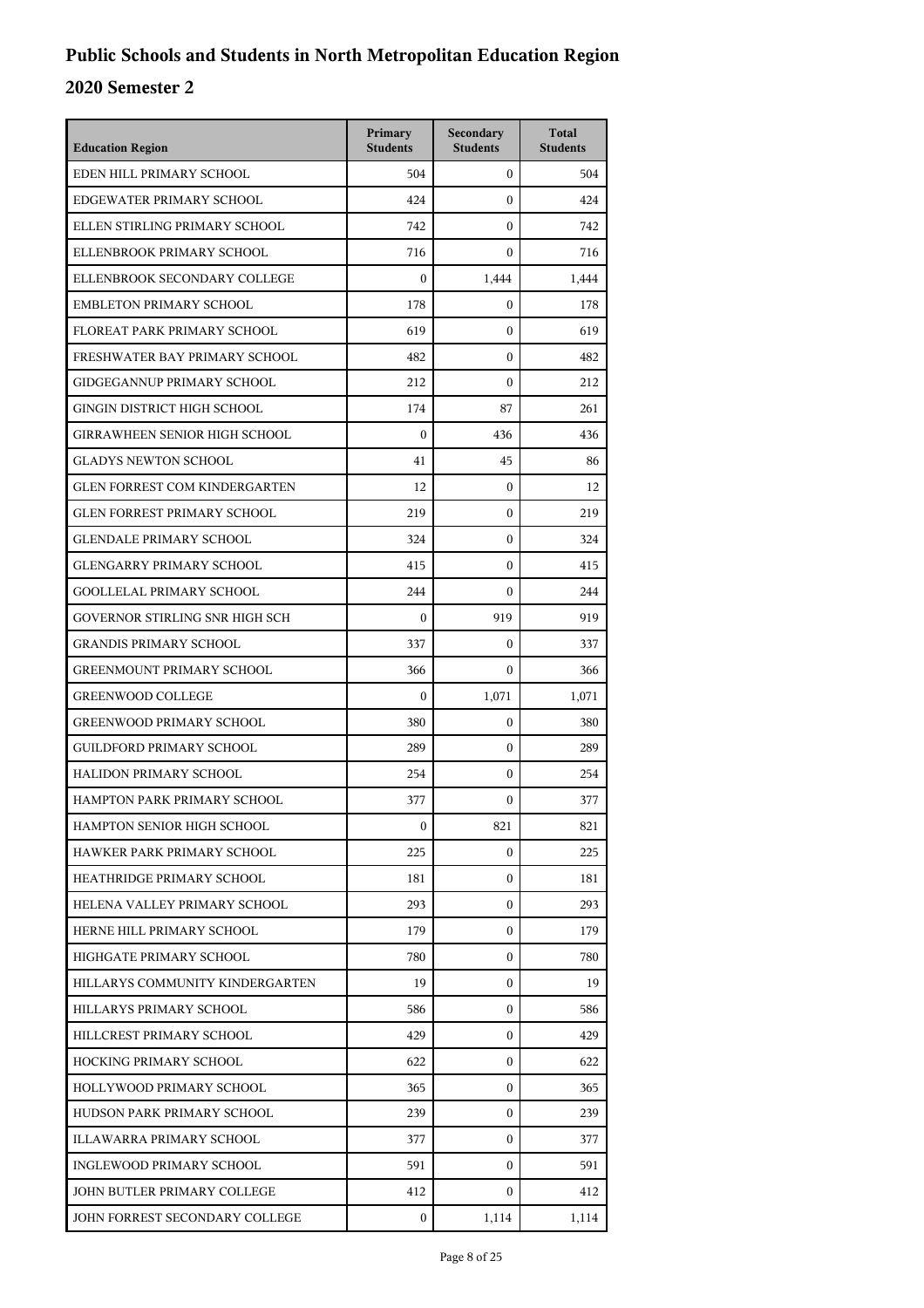| <b>Education Region</b>              | Primary<br><b>Students</b> | Secondary<br><b>Students</b> | <b>Total</b><br><b>Students</b> |
|--------------------------------------|----------------------------|------------------------------|---------------------------------|
| EDEN HILL PRIMARY SCHOOL             | 504                        | $\mathbf{0}$                 | 504                             |
| EDGEWATER PRIMARY SCHOOL             | 424                        | $\mathbf{0}$                 | 424                             |
| ELLEN STIRLING PRIMARY SCHOOL        | 742                        | $\boldsymbol{0}$             | 742                             |
| ELLENBROOK PRIMARY SCHOOL            | 716                        | $\boldsymbol{0}$             | 716                             |
| ELLENBROOK SECONDARY COLLEGE         | $\Omega$                   | 1,444                        | 1,444                           |
| <b>EMBLETON PRIMARY SCHOOL</b>       | 178                        | $\boldsymbol{0}$             | 178                             |
| FLOREAT PARK PRIMARY SCHOOL          | 619                        | $\boldsymbol{0}$             | 619                             |
| FRESHWATER BAY PRIMARY SCHOOL        | 482                        | $\boldsymbol{0}$             | 482                             |
| <b>GIDGEGANNUP PRIMARY SCHOOL</b>    | 212                        | $\boldsymbol{0}$             | 212                             |
| GINGIN DISTRICT HIGH SCHOOL          | 174                        | 87                           | 261                             |
| <b>GIRRAWHEEN SENIOR HIGH SCHOOL</b> | $\boldsymbol{0}$           | 436                          | 436                             |
| <b>GLADYS NEWTON SCHOOL</b>          | 41                         | 45                           | 86                              |
| <b>GLEN FORREST COM KINDERGARTEN</b> | 12                         | $\boldsymbol{0}$             | 12                              |
| <b>GLEN FORREST PRIMARY SCHOOL</b>   | 219                        | $\boldsymbol{0}$             | 219                             |
| <b>GLENDALE PRIMARY SCHOOL</b>       | 324                        | $\mathbf{0}$                 | 324                             |
| <b>GLENGARRY PRIMARY SCHOOL</b>      | 415                        | $\boldsymbol{0}$             | 415                             |
| <b>GOOLLELAL PRIMARY SCHOOL</b>      | 244                        | $\boldsymbol{0}$             | 244                             |
| GOVERNOR STIRLING SNR HIGH SCH       | $\boldsymbol{0}$           | 919                          | 919                             |
| <b>GRANDIS PRIMARY SCHOOL</b>        | 337                        | $\boldsymbol{0}$             | 337                             |
| <b>GREENMOUNT PRIMARY SCHOOL</b>     | 366                        | $\mathbf{0}$                 | 366                             |
| <b>GREENWOOD COLLEGE</b>             | $\boldsymbol{0}$           | 1,071                        | 1,071                           |
| <b>GREENWOOD PRIMARY SCHOOL</b>      | 380                        | $\boldsymbol{0}$             | 380                             |
| <b>GUILDFORD PRIMARY SCHOOL</b>      | 289                        | $\boldsymbol{0}$             | 289                             |
| HALIDON PRIMARY SCHOOL               | 254                        | $\boldsymbol{0}$             | 254                             |
| HAMPTON PARK PRIMARY SCHOOL          | 377                        | $\mathbf{0}$                 | 377                             |
| HAMPTON SENIOR HIGH SCHOOL           | $\bf{0}$                   | 821                          | 821                             |
| HAWKER PARK PRIMARY SCHOOL           | 225                        | 0                            | 225                             |
| HEATHRIDGE PRIMARY SCHOOL            | 181                        | $\mathbf{0}$                 | 181                             |
| HELENA VALLEY PRIMARY SCHOOL         | 293                        | 0                            | 293                             |
| HERNE HILL PRIMARY SCHOOL            | 179                        | $\mathbf{0}$                 | 179                             |
| HIGHGATE PRIMARY SCHOOL              | 780                        | $\mathbf{0}$                 | 780                             |
| HILLARYS COMMUNITY KINDERGARTEN      | 19                         | $\mathbf{0}$                 | 19                              |
| HILLARYS PRIMARY SCHOOL              | 586                        | $\mathbf{0}$                 | 586                             |
| HILLCREST PRIMARY SCHOOL             | 429                        | 0                            | 429                             |
| HOCKING PRIMARY SCHOOL               | 622                        | $\mathbf{0}$                 | 622                             |
| HOLLYWOOD PRIMARY SCHOOL             | 365                        | $\mathbf{0}$                 | 365                             |
| HUDSON PARK PRIMARY SCHOOL           | 239                        | $\mathbf{0}$                 | 239                             |
| ILLAWARRA PRIMARY SCHOOL             | 377                        | $\mathbf{0}$                 | 377                             |
| INGLEWOOD PRIMARY SCHOOL             | 591                        | 0                            | 591                             |
| JOHN BUTLER PRIMARY COLLEGE          | 412                        | $\mathbf{0}$                 | 412                             |
| JOHN FORREST SECONDARY COLLEGE       | 0                          | 1,114                        | 1,114                           |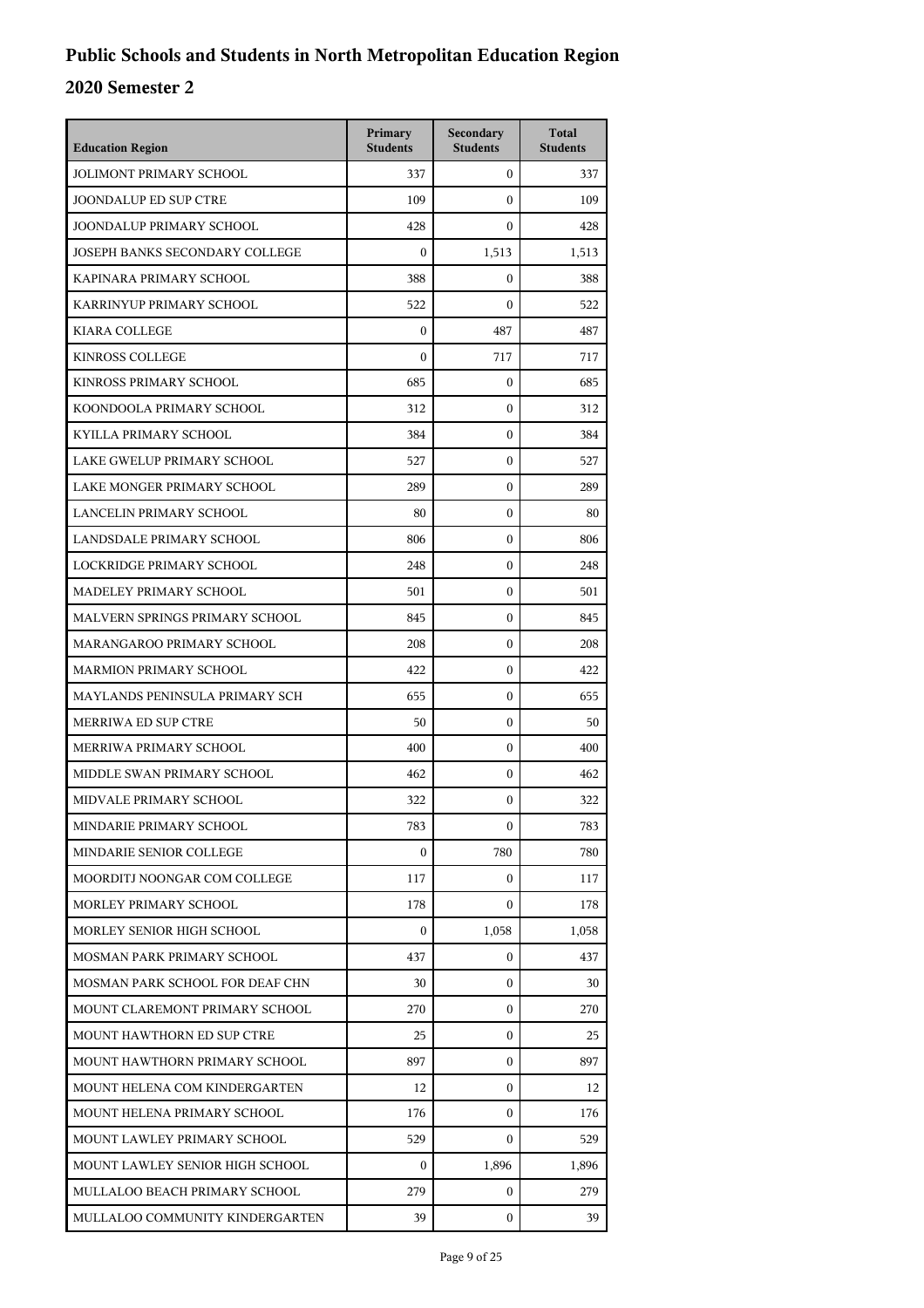| <b>Education Region</b>         | Primary<br><b>Students</b> | Secondary<br><b>Students</b> | <b>Total</b><br><b>Students</b> |
|---------------------------------|----------------------------|------------------------------|---------------------------------|
| <b>JOLIMONT PRIMARY SCHOOL</b>  | 337                        | $\mathbf{0}$                 | 337                             |
| <b>JOONDALUP ED SUP CTRE</b>    | 109                        | $\mathbf{0}$                 | 109                             |
| JOONDALUP PRIMARY SCHOOL        | 428                        | $\boldsymbol{0}$             | 428                             |
| JOSEPH BANKS SECONDARY COLLEGE  | $\boldsymbol{0}$           | 1,513                        | 1,513                           |
| KAPINARA PRIMARY SCHOOL         | 388                        | $\mathbf{0}$                 | 388                             |
| KARRINYUP PRIMARY SCHOOL        | 522                        | $\boldsymbol{0}$             | 522                             |
| <b>KIARA COLLEGE</b>            | $\boldsymbol{0}$           | 487                          | 487                             |
| <b>KINROSS COLLEGE</b>          | $\boldsymbol{0}$           | 717                          | 717                             |
| KINROSS PRIMARY SCHOOL          | 685                        | $\boldsymbol{0}$             | 685                             |
| KOONDOOLA PRIMARY SCHOOL        | 312                        | $\mathbf{0}$                 | 312                             |
| KYILLA PRIMARY SCHOOL           | 384                        | $\boldsymbol{0}$             | 384                             |
| LAKE GWELUP PRIMARY SCHOOL      | 527                        | $\boldsymbol{0}$             | 527                             |
| LAKE MONGER PRIMARY SCHOOL      | 289                        | $\boldsymbol{0}$             | 289                             |
| LANCELIN PRIMARY SCHOOL         | 80                         | $\boldsymbol{0}$             | 80                              |
| LANDSDALE PRIMARY SCHOOL        | 806                        | $\mathbf{0}$                 | 806                             |
| LOCKRIDGE PRIMARY SCHOOL        | 248                        | $\boldsymbol{0}$             | 248                             |
| MADELEY PRIMARY SCHOOL          | 501                        | $\boldsymbol{0}$             | 501                             |
| MALVERN SPRINGS PRIMARY SCHOOL  | 845                        | $\boldsymbol{0}$             | 845                             |
| MARANGAROO PRIMARY SCHOOL       | 208                        | $\boldsymbol{0}$             | 208                             |
| <b>MARMION PRIMARY SCHOOL</b>   | 422                        | $\mathbf{0}$                 | 422                             |
| MAYLANDS PENINSULA PRIMARY SCH  | 655                        | $\boldsymbol{0}$             | 655                             |
| MERRIWA ED SUP CTRE             | 50                         | $\boldsymbol{0}$             | 50                              |
| MERRIWA PRIMARY SCHOOL          | 400                        | $\boldsymbol{0}$             | 400                             |
| MIDDLE SWAN PRIMARY SCHOOL      | 462                        | $\boldsymbol{0}$             | 462                             |
| MIDVALE PRIMARY SCHOOL          | 322                        | $\mathbf{0}$                 | 322                             |
| MINDARIE PRIMARY SCHOOL         | 783                        | 0                            | 783                             |
| MINDARIE SENIOR COLLEGE         | $\boldsymbol{0}$           | 780                          | 780                             |
| MOORDITJ NOONGAR COM COLLEGE    | 117                        | $\mathbf{0}$                 | 117                             |
| MORLEY PRIMARY SCHOOL           | 178                        | 0                            | 178                             |
| MORLEY SENIOR HIGH SCHOOL       | 0                          | 1,058                        | 1,058                           |
| MOSMAN PARK PRIMARY SCHOOL      | 437                        | $\mathbf{0}$                 | 437                             |
| MOSMAN PARK SCHOOL FOR DEAF CHN | 30                         | $\mathbf{0}$                 | 30                              |
| MOUNT CLAREMONT PRIMARY SCHOOL  | 270                        | $\mathbf{0}$                 | 270                             |
| MOUNT HAWTHORN ED SUP CTRE      | 25                         | $\mathbf{0}$                 | 25                              |
| MOUNT HAWTHORN PRIMARY SCHOOL   | 897                        | $\mathbf{0}$                 | 897                             |
| MOUNT HELENA COM KINDERGARTEN   | 12                         | $\mathbf{0}$                 | 12                              |
| MOUNT HELENA PRIMARY SCHOOL     | 176                        | $\mathbf{0}$                 | 176                             |
| MOUNT LAWLEY PRIMARY SCHOOL     | 529                        | 0                            | 529                             |
| MOUNT LAWLEY SENIOR HIGH SCHOOL | 0                          | 1,896                        | 1,896                           |
| MULLALOO BEACH PRIMARY SCHOOL   | 279                        | $\mathbf{0}$                 | 279                             |
| MULLALOO COMMUNITY KINDERGARTEN | 39                         | $\mathbf{0}$                 | 39                              |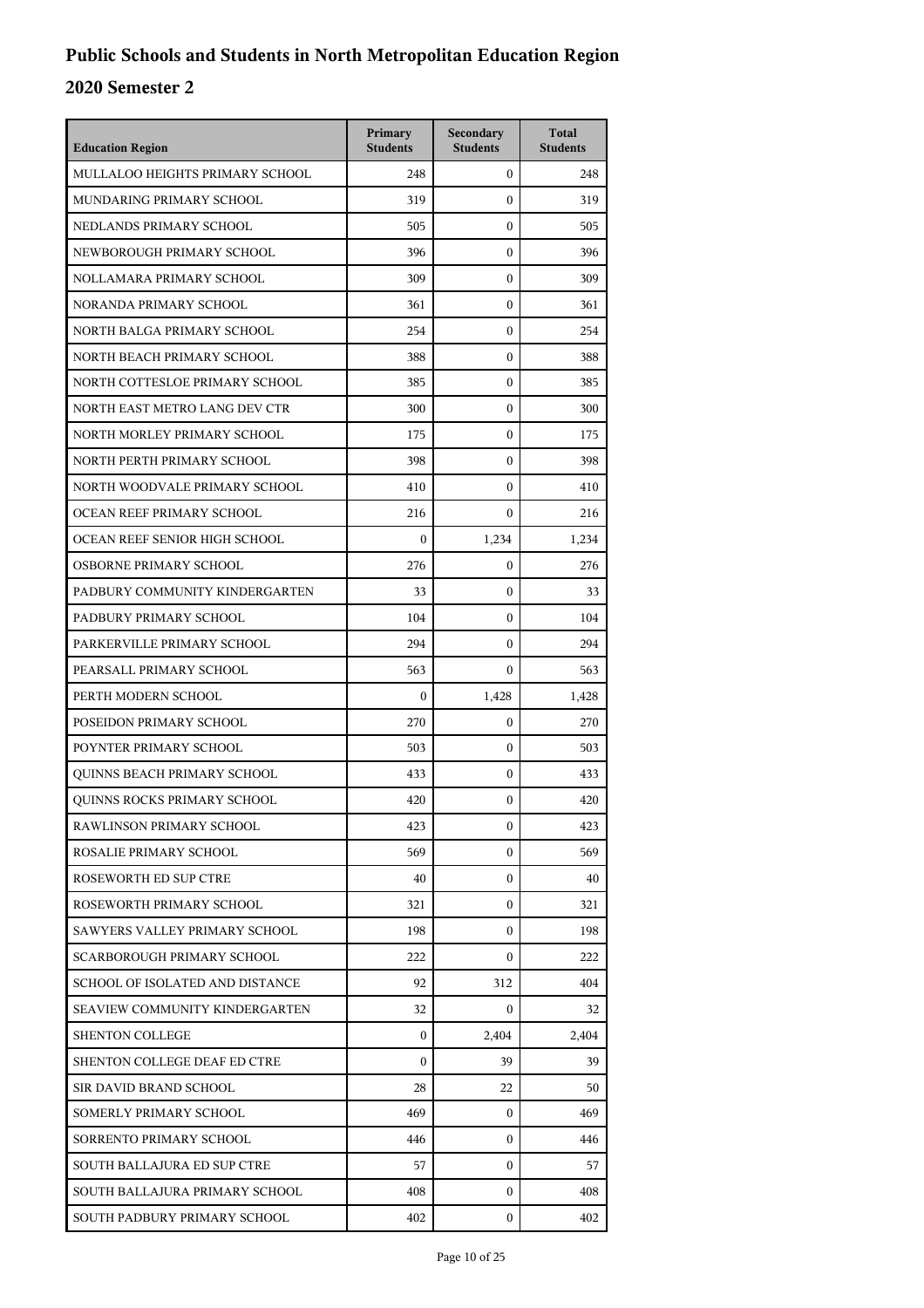| <b>Education Region</b>            | Primary<br><b>Students</b> | Secondary<br><b>Students</b> | <b>Total</b><br><b>Students</b> |
|------------------------------------|----------------------------|------------------------------|---------------------------------|
| MULLALOO HEIGHTS PRIMARY SCHOOL    | 248                        | $\mathbf{0}$                 | 248                             |
| MUNDARING PRIMARY SCHOOL           | 319                        | $\mathbf{0}$                 | 319                             |
| NEDLANDS PRIMARY SCHOOL            | 505                        | $\boldsymbol{0}$             | 505                             |
| NEWBOROUGH PRIMARY SCHOOL          | 396                        | $\boldsymbol{0}$             | 396                             |
| NOLLAMARA PRIMARY SCHOOL           | 309                        | $\boldsymbol{0}$             | 309                             |
| NORANDA PRIMARY SCHOOL             | 361                        | $\mathbf{0}$                 | 361                             |
| NORTH BALGA PRIMARY SCHOOL         | 254                        | $\mathbf{0}$                 | 254                             |
| NORTH BEACH PRIMARY SCHOOL         | 388                        | $\boldsymbol{0}$             | 388                             |
| NORTH COTTESLOE PRIMARY SCHOOL     | 385                        | $\boldsymbol{0}$             | 385                             |
| NORTH EAST METRO LANG DEV CTR      | 300                        | $\boldsymbol{0}$             | 300                             |
| NORTH MORLEY PRIMARY SCHOOL        | 175                        | $\mathbf{0}$                 | 175                             |
| NORTH PERTH PRIMARY SCHOOL         | 398                        | $\mathbf{0}$                 | 398                             |
| NORTH WOODVALE PRIMARY SCHOOL      | 410                        | $\boldsymbol{0}$             | 410                             |
| OCEAN REEF PRIMARY SCHOOL          | 216                        | $\mathbf{0}$                 | 216                             |
| OCEAN REEF SENIOR HIGH SCHOOL      | $\Omega$                   | 1,234                        | 1,234                           |
| OSBORNE PRIMARY SCHOOL             | 276                        | $\mathbf{0}$                 | 276                             |
| PADBURY COMMUNITY KINDERGARTEN     | 33                         | $\mathbf{0}$                 | 33                              |
| PADBURY PRIMARY SCHOOL             | 104                        | $\mathbf{0}$                 | 104                             |
| PARKERVILLE PRIMARY SCHOOL         | 294                        | $\mathbf{0}$                 | 294                             |
| PEARSALL PRIMARY SCHOOL            | 563                        | $\Omega$                     | 563                             |
| PERTH MODERN SCHOOL                | $\boldsymbol{0}$           | 1,428                        | 1,428                           |
| POSEIDON PRIMARY SCHOOL            | 270                        | $\mathbf{0}$                 | 270                             |
| POYNTER PRIMARY SCHOOL             | 503                        | $\mathbf{0}$                 | 503                             |
| QUINNS BEACH PRIMARY SCHOOL        | 433                        | $\mathbf{0}$                 | 433                             |
| <b>OUINNS ROCKS PRIMARY SCHOOL</b> | 420                        | $\mathbf{0}$                 | 420                             |
| RAWLINSON PRIMARY SCHOOL           | 423                        | 0                            | 423                             |
| ROSALIE PRIMARY SCHOOL             | 569                        | $\Omega$                     | 569                             |
| ROSEWORTH ED SUP CTRE              | 40                         | 0                            | 40                              |
| ROSEWORTH PRIMARY SCHOOL           | 321                        | 0                            | 321                             |
| SAWYERS VALLEY PRIMARY SCHOOL      | 198                        | $\Omega$                     | 198                             |
| SCARBOROUGH PRIMARY SCHOOL         | 222                        | $\Omega$                     | 222                             |
| SCHOOL OF ISOLATED AND DISTANCE    | 92                         | 312                          | 404                             |
| SEAVIEW COMMUNITY KINDERGARTEN     | 32                         | 0                            | 32                              |
| <b>SHENTON COLLEGE</b>             | $\boldsymbol{0}$           | 2,404                        | 2,404                           |
| SHENTON COLLEGE DEAF ED CTRE       | $\Omega$                   | 39                           | 39                              |
| SIR DAVID BRAND SCHOOL             | 28                         | 22                           | 50                              |
| SOMERLY PRIMARY SCHOOL             | 469                        | $\mathbf{0}$                 | 469                             |
| SORRENTO PRIMARY SCHOOL            | 446                        | 0                            | 446                             |
| SOUTH BALLAJURA ED SUP CTRE        | 57                         | 0                            | 57                              |
| SOUTH BALLAJURA PRIMARY SCHOOL     | 408                        | 0                            | 408                             |
| SOUTH PADBURY PRIMARY SCHOOL       | 402                        | 0                            | 402                             |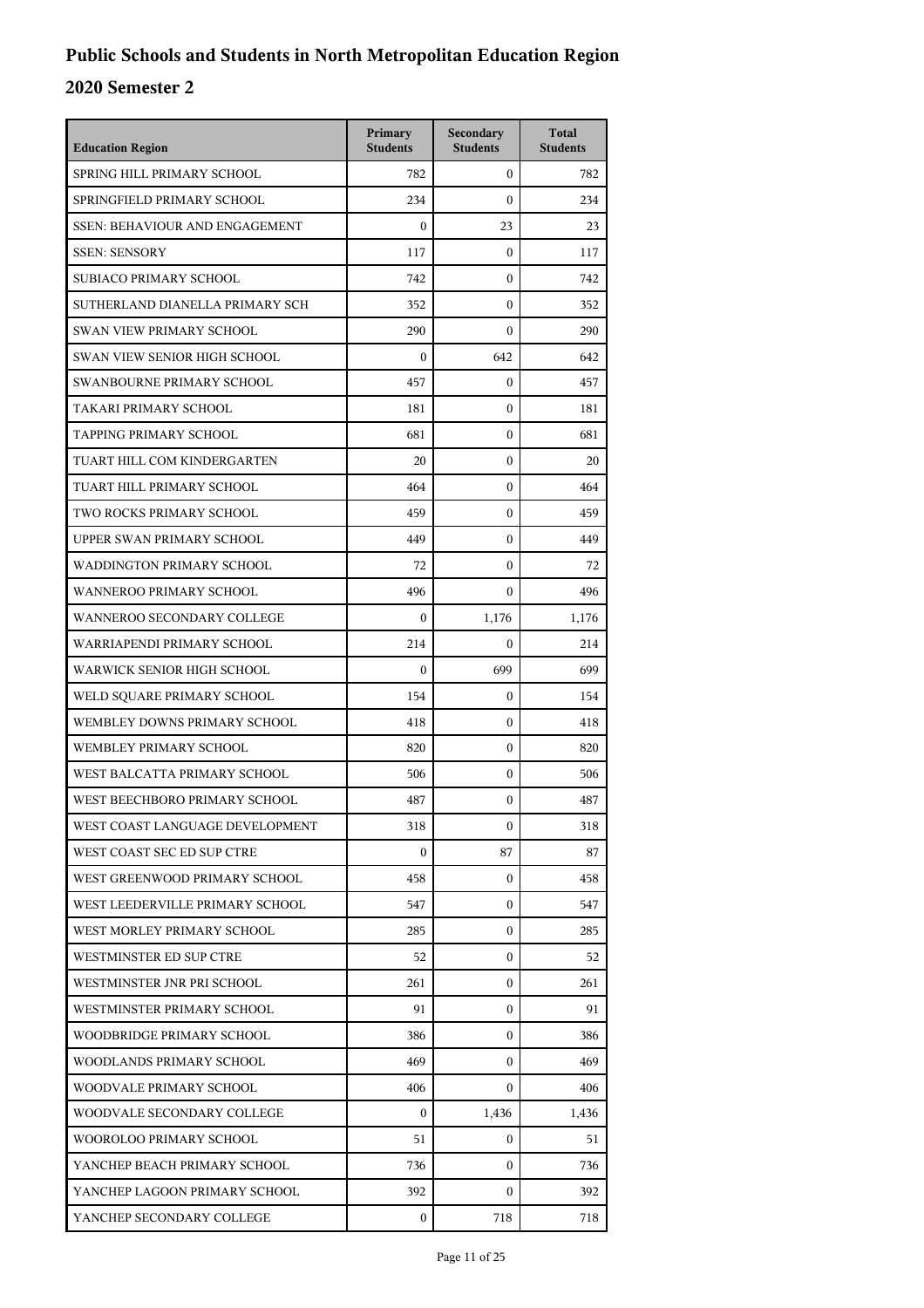| <b>Education Region</b>               | Primary<br><b>Students</b> | Secondary<br><b>Students</b> | <b>Total</b><br><b>Students</b> |
|---------------------------------------|----------------------------|------------------------------|---------------------------------|
| SPRING HILL PRIMARY SCHOOL            | 782                        | $\overline{0}$               | 782                             |
| SPRINGFIELD PRIMARY SCHOOL            | 234                        | $\mathbf{0}$                 | 234                             |
| <b>SSEN: BEHAVIOUR AND ENGAGEMENT</b> | $\theta$                   | 23                           | 23                              |
| <b>SSEN: SENSORY</b>                  | 117                        | $\mathbf{0}$                 | 117                             |
| SUBIACO PRIMARY SCHOOL                | 742                        | 0                            | 742                             |
| SUTHERLAND DIANELLA PRIMARY SCH       | 352                        | $\mathbf{0}$                 | 352                             |
| SWAN VIEW PRIMARY SCHOOL              | 290                        | $\mathbf{0}$                 | 290                             |
| SWAN VIEW SENIOR HIGH SCHOOL          | $\theta$                   | 642                          | 642                             |
| SWANBOURNE PRIMARY SCHOOL             | 457                        | $\boldsymbol{0}$             | 457                             |
| TAKARI PRIMARY SCHOOL                 | 181                        | 0                            | 181                             |
| TAPPING PRIMARY SCHOOL                | 681                        | $\mathbf{0}$                 | 681                             |
| TUART HILL COM KINDERGARTEN           | 20                         | $\mathbf{0}$                 | 20                              |
| TUART HILL PRIMARY SCHOOL             | 464                        | $\mathbf{0}$                 | 464                             |
| TWO ROCKS PRIMARY SCHOOL              | 459                        | $\mathbf{0}$                 | 459                             |
| UPPER SWAN PRIMARY SCHOOL             | 449                        | $\mathbf{0}$                 | 449                             |
| WADDINGTON PRIMARY SCHOOL             | 72                         | $\mathbf{0}$                 | 72                              |
| <b>WANNEROO PRIMARY SCHOOL</b>        | 496                        | $\Omega$                     | 496                             |
| WANNEROO SECONDARY COLLEGE            | $\mathbf{0}$               | 1,176                        | 1,176                           |
| WARRIAPENDI PRIMARY SCHOOL            | 214                        | $\mathbf{0}$                 | 214                             |
| WARWICK SENIOR HIGH SCHOOL            | $\boldsymbol{0}$           | 699                          | 699                             |
| WELD SQUARE PRIMARY SCHOOL            | 154                        | $\mathbf{0}$                 | 154                             |
| WEMBLEY DOWNS PRIMARY SCHOOL          | 418                        | $\mathbf{0}$                 | 418                             |
| WEMBLEY PRIMARY SCHOOL                | 820                        | $\mathbf{0}$                 | 820                             |
| WEST BALCATTA PRIMARY SCHOOL          | 506                        | $\mathbf{0}$                 | 506                             |
| WEST BEECHBORO PRIMARY SCHOOL         | 487                        | $\mathbf{0}$                 | 487                             |
| WEST COAST LANGUAGE DEVELOPMENT       | 318                        | 0                            | 318                             |
| WEST COAST SEC ED SUP CTRE            | $\mathbf{0}$               | 87                           | 87                              |
| WEST GREENWOOD PRIMARY SCHOOL         | 458                        | $\overline{0}$               | 458                             |
| WEST LEEDERVILLE PRIMARY SCHOOL       | 547                        | $\mathbf{0}$                 | 547                             |
| WEST MORLEY PRIMARY SCHOOL            | 285                        | $\mathbf{0}$                 | 285                             |
| WESTMINSTER ED SUP CTRE               | 52                         | $\overline{0}$               | 52                              |
| WESTMINSTER JNR PRI SCHOOL            | 261                        | $\overline{0}$               | 261                             |
| WESTMINSTER PRIMARY SCHOOL            | 91                         | $\overline{0}$               | 91                              |
| WOODBRIDGE PRIMARY SCHOOL             | 386                        | $\mathbf{0}$                 | 386                             |
| WOODLANDS PRIMARY SCHOOL              | 469                        | $\mathbf{0}$                 | 469                             |
| WOODVALE PRIMARY SCHOOL               | 406                        | $\overline{0}$               | 406                             |
| WOODVALE SECONDARY COLLEGE            | $\mathbf{0}$               | 1,436                        | 1,436                           |
| WOOROLOO PRIMARY SCHOOL               | 51                         | $\overline{0}$               | 51                              |
| YANCHEP BEACH PRIMARY SCHOOL          | 736                        | 0                            | 736                             |
| YANCHEP LAGOON PRIMARY SCHOOL         | 392                        | $\mathbf{0}$                 | 392                             |
| YANCHEP SECONDARY COLLEGE             | $\mathbf{0}$               | 718                          | 718                             |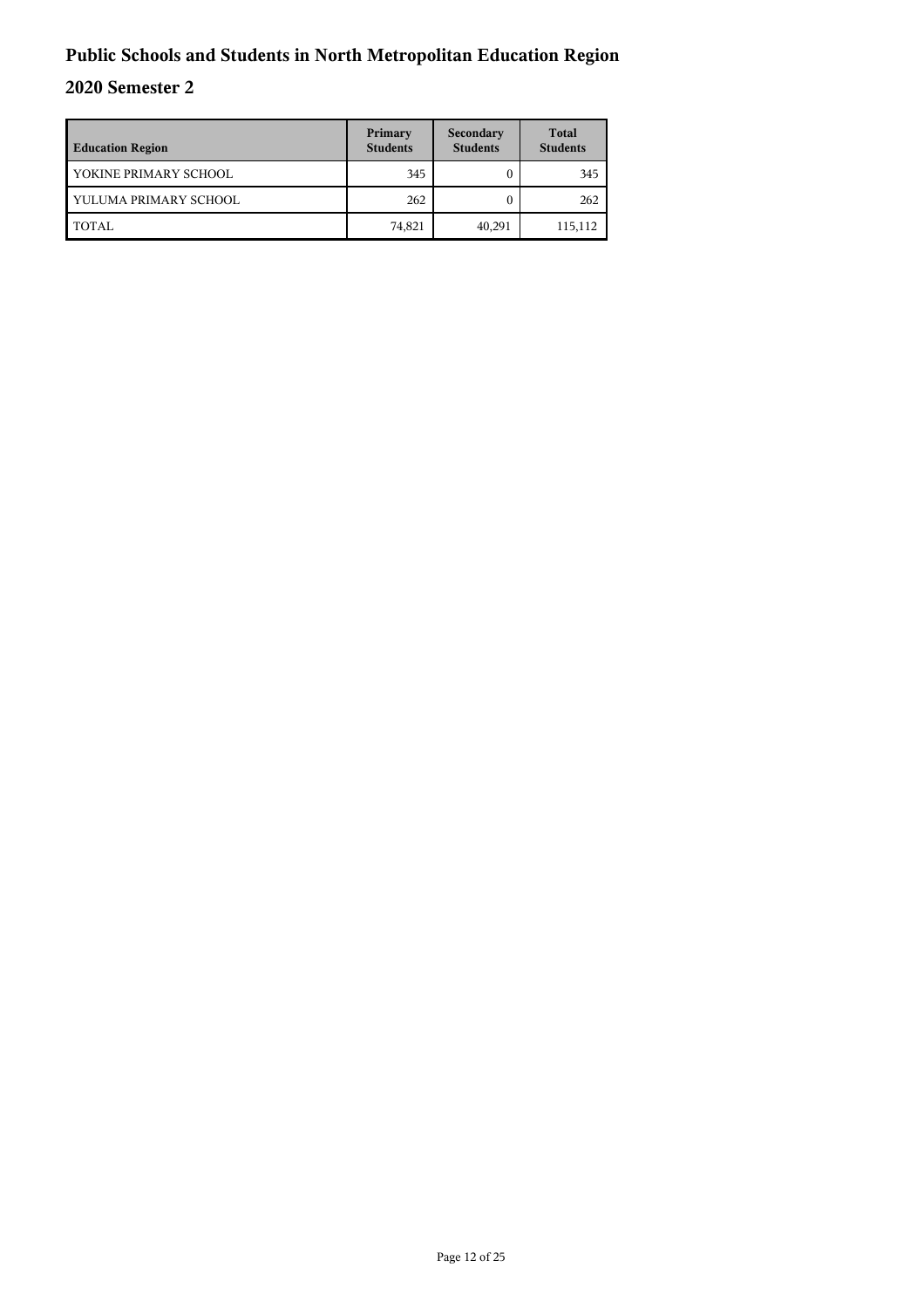| <b>Education Region</b> | Primary<br><b>Students</b> | Secondary<br><b>Students</b> | <b>Total</b><br><b>Students</b> |
|-------------------------|----------------------------|------------------------------|---------------------------------|
| YOKINE PRIMARY SCHOOL   | 345                        |                              | 345                             |
| YULUMA PRIMARY SCHOOL   | 262                        |                              | 262                             |
| TOTAL                   | 74,821                     | 40,291                       | 115,112                         |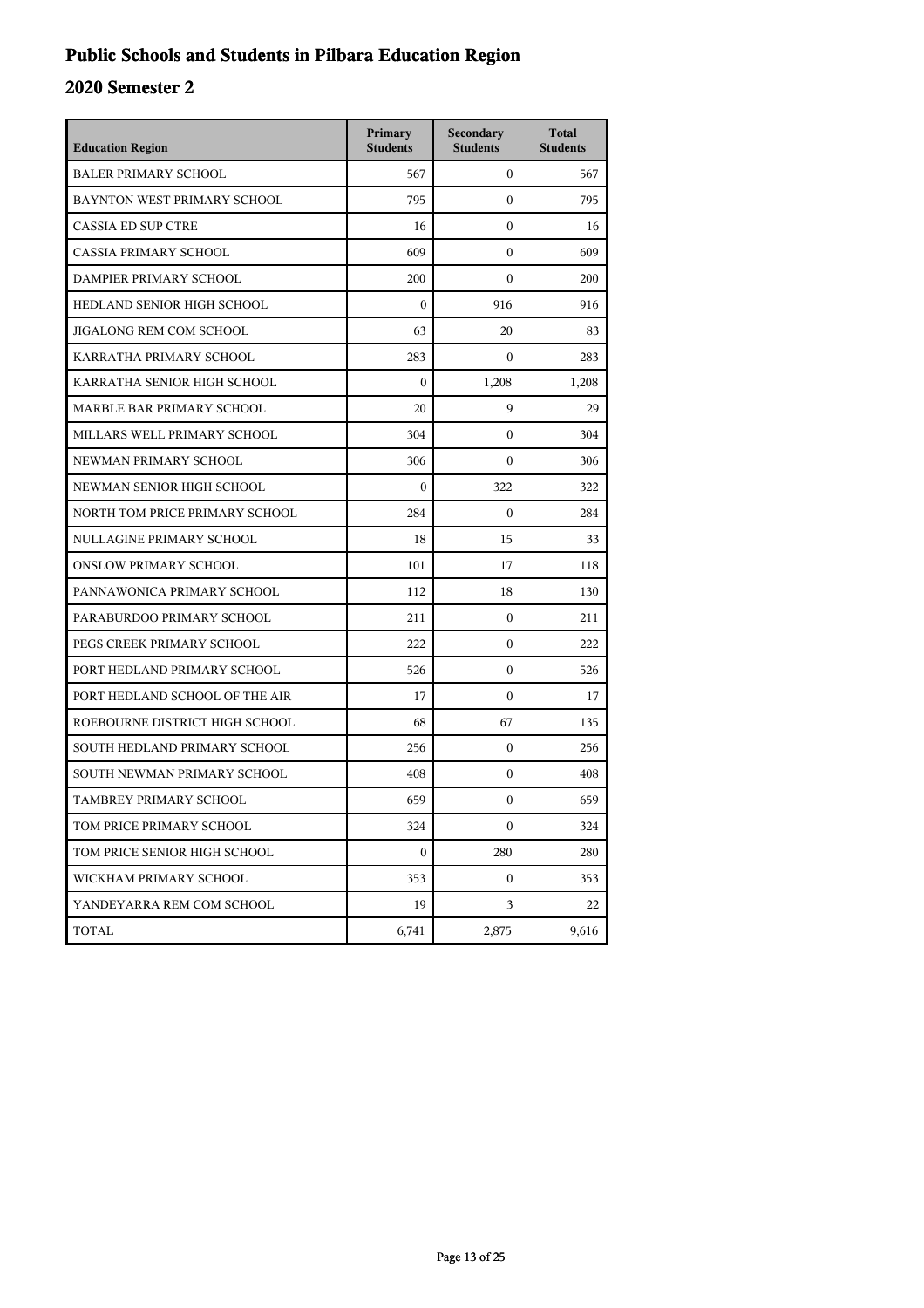## **Public Schools and Students in Pilbara Education Region**

| <b>Education Region</b>        | Primary<br><b>Students</b> | Secondary<br><b>Students</b> | <b>Total</b><br><b>Students</b> |
|--------------------------------|----------------------------|------------------------------|---------------------------------|
| <b>BALER PRIMARY SCHOOL</b>    | 567                        | $\mathbf{0}$                 | 567                             |
| BAYNTON WEST PRIMARY SCHOOL    | 795                        | $\mathbf{0}$                 | 795                             |
| <b>CASSIA ED SUP CTRE</b>      | 16                         | $\boldsymbol{0}$             | 16                              |
| <b>CASSIA PRIMARY SCHOOL</b>   | 609                        | $\theta$                     | 609                             |
| DAMPIER PRIMARY SCHOOL         | 200                        | $\Omega$                     | 200                             |
| HEDLAND SENIOR HIGH SCHOOL     | $\mathbf{0}$               | 916                          | 916                             |
| JIGALONG REM COM SCHOOL        | 63                         | 20                           | 83                              |
| KARRATHA PRIMARY SCHOOL        | 283                        | $\boldsymbol{0}$             | 283                             |
| KARRATHA SENIOR HIGH SCHOOL    | $\mathbf{0}$               | 1,208                        | 1,208                           |
| MARBLE BAR PRIMARY SCHOOL      | 20                         | 9                            | 29                              |
| MILLARS WELL PRIMARY SCHOOL    | 304                        | $\Omega$                     | 304                             |
| NEWMAN PRIMARY SCHOOL          | 306                        | $\boldsymbol{0}$             | 306                             |
| NEWMAN SENIOR HIGH SCHOOL      | $\mathbf{0}$               | 322                          | 322                             |
| NORTH TOM PRICE PRIMARY SCHOOL | 284                        | $\mathbf{0}$                 | 284                             |
| NULLAGINE PRIMARY SCHOOL       | 18                         | 15                           | 33                              |
| <b>ONSLOW PRIMARY SCHOOL</b>   | 101                        | 17                           | 118                             |
| PANNAWONICA PRIMARY SCHOOL     | 112                        | 18                           | 130                             |
| PARABURDOO PRIMARY SCHOOL      | 211                        | $\boldsymbol{0}$             | 211                             |
| PEGS CREEK PRIMARY SCHOOL      | 222                        | $\mathbf{0}$                 | 222                             |
| PORT HEDLAND PRIMARY SCHOOL    | 526                        | $\boldsymbol{0}$             | 526                             |
| PORT HEDLAND SCHOOL OF THE AIR | 17                         | $\Omega$                     | 17                              |
| ROEBOURNE DISTRICT HIGH SCHOOL | 68                         | 67                           | 135                             |
| SOUTH HEDLAND PRIMARY SCHOOL   | 256                        | $\boldsymbol{0}$             | 256                             |
| SOUTH NEWMAN PRIMARY SCHOOL    | 408                        | $\mathbf{0}$                 | 408                             |
| TAMBREY PRIMARY SCHOOL         | 659                        | $\mathbf{0}$                 | 659                             |
| TOM PRICE PRIMARY SCHOOL       | 324                        | $\boldsymbol{0}$             | 324                             |
| TOM PRICE SENIOR HIGH SCHOOL   | $\boldsymbol{0}$           | 280                          | 280                             |
| WICKHAM PRIMARY SCHOOL         | 353                        | $\mathbf{0}$                 | 353                             |
| YANDEYARRA REM COM SCHOOL      | 19                         | 3                            | 22                              |
| TOTAL                          | 6,741                      | 2,875                        | 9,616                           |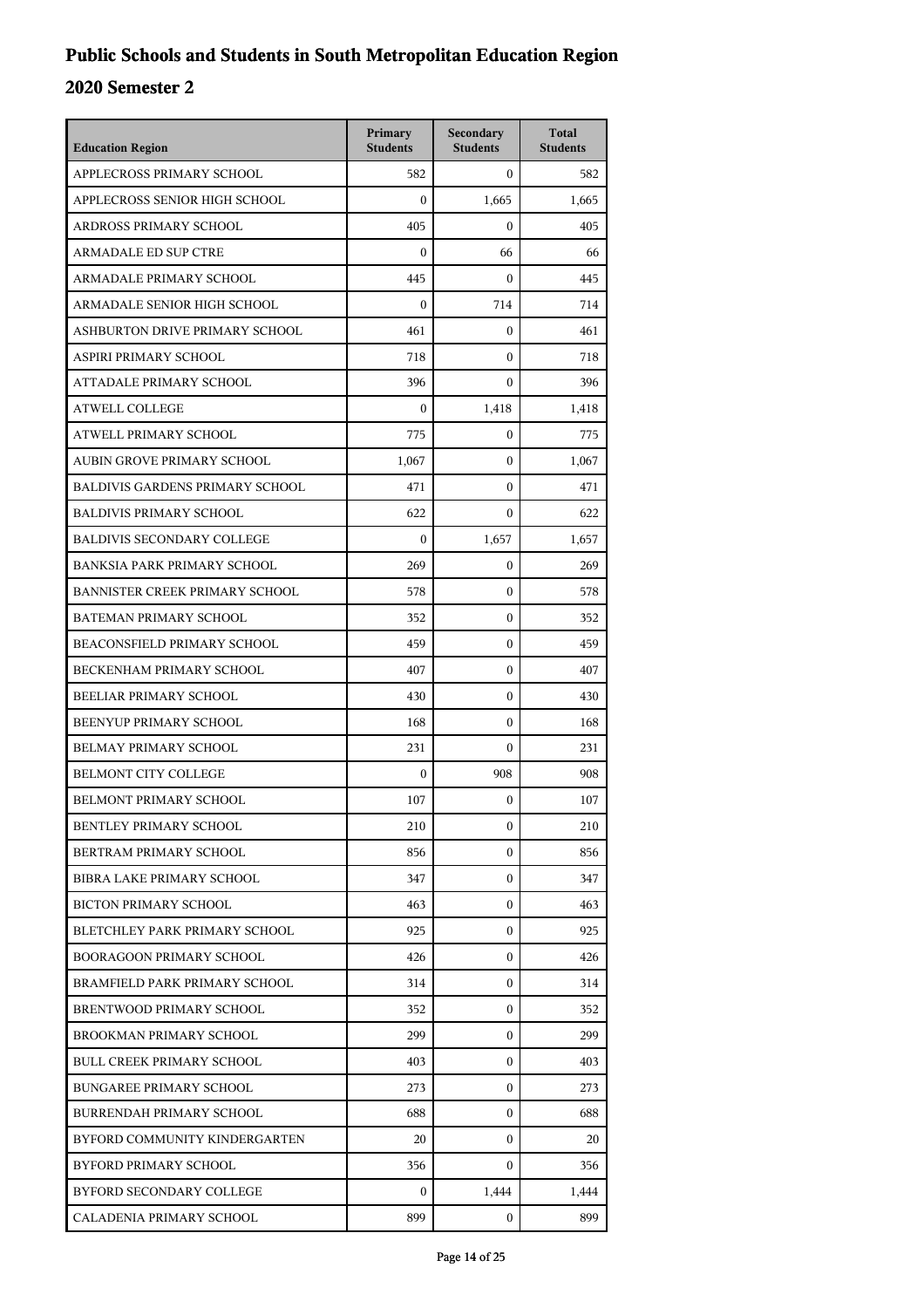| <b>Education Region</b>                | Primary<br><b>Students</b> | Secondary<br><b>Students</b> | <b>Total</b><br><b>Students</b> |
|----------------------------------------|----------------------------|------------------------------|---------------------------------|
| APPLECROSS PRIMARY SCHOOL              | 582                        | $\mathbf{0}$                 | 582                             |
| APPLECROSS SENIOR HIGH SCHOOL          | $\boldsymbol{0}$           | 1,665                        | 1,665                           |
| ARDROSS PRIMARY SCHOOL                 | 405                        | $\boldsymbol{0}$             | 405                             |
| <b>ARMADALE ED SUP CTRE</b>            | $\boldsymbol{0}$           | 66                           | 66                              |
| ARMADALE PRIMARY SCHOOL                | 445                        | $\mathbf{0}$                 | 445                             |
| ARMADALE SENIOR HIGH SCHOOL            | $\boldsymbol{0}$           | 714                          | 714                             |
| ASHBURTON DRIVE PRIMARY SCHOOL         | 461                        | $\boldsymbol{0}$             | 461                             |
| ASPIRI PRIMARY SCHOOL                  | 718                        | $\boldsymbol{0}$             | 718                             |
| ATTADALE PRIMARY SCHOOL                | 396                        | $\mathbf{0}$                 | 396                             |
| <b>ATWELL COLLEGE</b>                  | $\boldsymbol{0}$           | 1,418                        | 1,418                           |
| ATWELL PRIMARY SCHOOL                  | 775                        | $\mathbf{0}$                 | 775                             |
| AUBIN GROVE PRIMARY SCHOOL             | 1,067                      | $\mathbf{0}$                 | 1,067                           |
| <b>BALDIVIS GARDENS PRIMARY SCHOOL</b> | 471                        | $\boldsymbol{0}$             | 471                             |
| <b>BALDIVIS PRIMARY SCHOOL</b>         | 622                        | $\mathbf{0}$                 | 622                             |
| <b>BALDIVIS SECONDARY COLLEGE</b>      | $\boldsymbol{0}$           | 1.657                        | 1,657                           |
| <b>BANKSIA PARK PRIMARY SCHOOL</b>     | 269                        | $\mathbf{0}$                 | 269                             |
| <b>BANNISTER CREEK PRIMARY SCHOOL</b>  | 578                        | $\boldsymbol{0}$             | 578                             |
| BATEMAN PRIMARY SCHOOL                 | 352                        | $\boldsymbol{0}$             | 352                             |
| BEACONSFIELD PRIMARY SCHOOL            | 459                        | $\boldsymbol{0}$             | 459                             |
| BECKENHAM PRIMARY SCHOOL               | 407                        | $\mathbf{0}$                 | 407                             |
| BEELIAR PRIMARY SCHOOL                 | 430                        | $\mathbf{0}$                 | 430                             |
| BEENYUP PRIMARY SCHOOL                 | 168                        | $\boldsymbol{0}$             | 168                             |
| <b>BELMAY PRIMARY SCHOOL</b>           | 231                        | $\boldsymbol{0}$             | 231                             |
| <b>BELMONT CITY COLLEGE</b>            | $\boldsymbol{0}$           | 908                          | 908                             |
| BELMONT PRIMARY SCHOOL                 | 107                        | 0                            | 107                             |
| BENTLEY PRIMARY SCHOOL                 | 210                        | $\boldsymbol{0}$             | 210                             |
| BERTRAM PRIMARY SCHOOL                 | 856                        | $\mathbf{0}$                 | 856                             |
| BIBRA LAKE PRIMARY SCHOOL              | 347                        | $\mathbf{0}$                 | 347                             |
| <b>BICTON PRIMARY SCHOOL</b>           | 463                        | 0                            | 463                             |
| BLETCHLEY PARK PRIMARY SCHOOL          | 925                        | $\mathbf{0}$                 | 925                             |
| <b>BOORAGOON PRIMARY SCHOOL</b>        | 426                        | $\mathbf{0}$                 | 426                             |
| BRAMFIELD PARK PRIMARY SCHOOL          | 314                        | $\mathbf{0}$                 | 314                             |
| BRENTWOOD PRIMARY SCHOOL               | 352                        | $\mathbf{0}$                 | 352                             |
| BROOKMAN PRIMARY SCHOOL                | 299                        | 0                            | 299                             |
| <b>BULL CREEK PRIMARY SCHOOL</b>       | 403                        | $\mathbf{0}$                 | 403                             |
| <b>BUNGAREE PRIMARY SCHOOL</b>         | 273                        | 0                            | 273                             |
| BURRENDAH PRIMARY SCHOOL               | 688                        | $\mathbf{0}$                 | 688                             |
| BYFORD COMMUNITY KINDERGARTEN          | 20                         | $\mathbf{0}$                 | 20                              |
| BYFORD PRIMARY SCHOOL                  | 356                        | 0                            | 356                             |
| BYFORD SECONDARY COLLEGE               | 0                          | 1,444                        | 1,444                           |
| CALADENIA PRIMARY SCHOOL               | 899                        | 0                            | 899                             |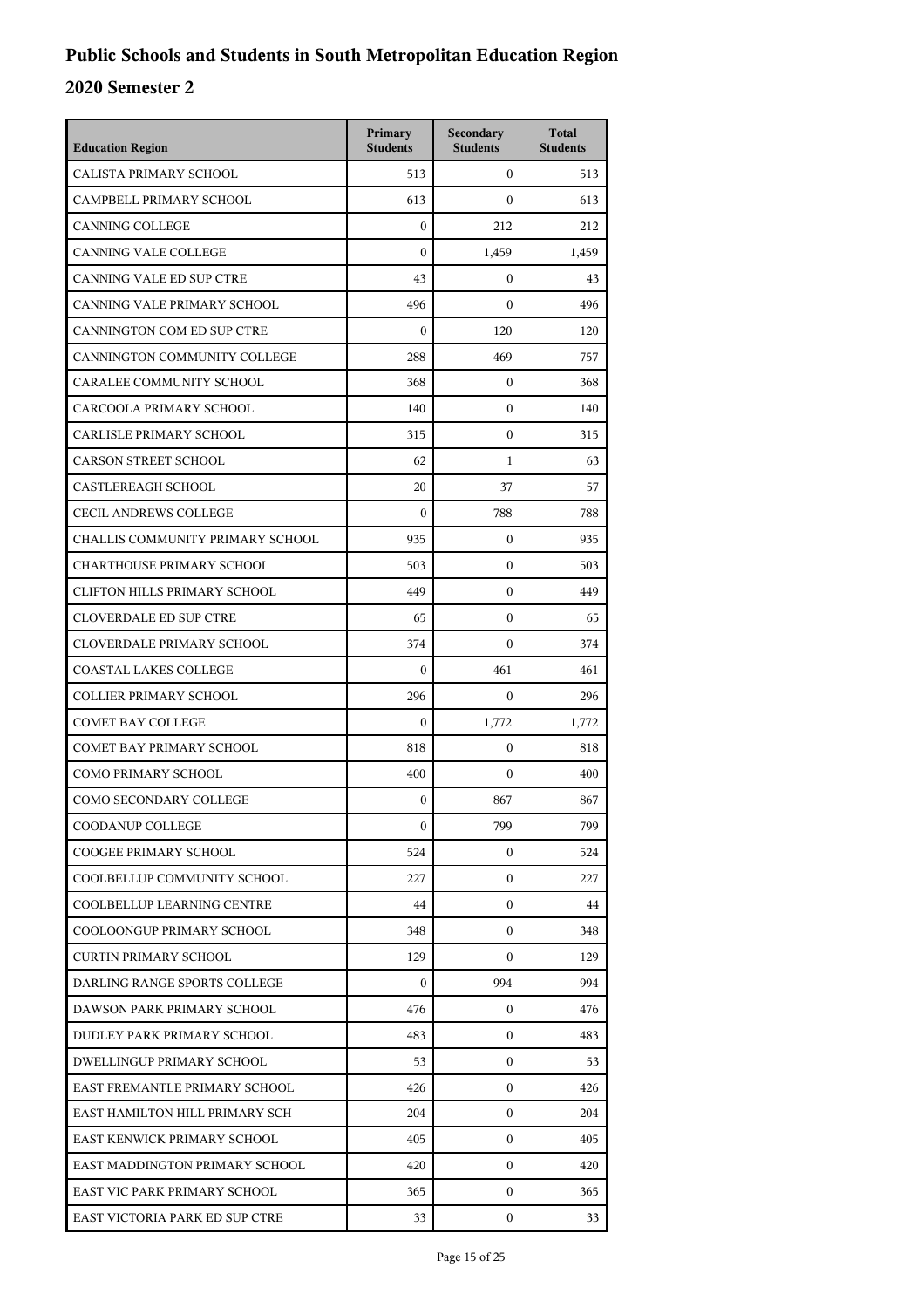| <b>Education Region</b>             | Primary<br><b>Students</b> | Secondary<br><b>Students</b> | <b>Total</b><br><b>Students</b> |
|-------------------------------------|----------------------------|------------------------------|---------------------------------|
| CALISTA PRIMARY SCHOOL              | 513                        | $\mathbf{0}$                 | 513                             |
| CAMPBELL PRIMARY SCHOOL             | 613                        | $\boldsymbol{0}$             | 613                             |
| <b>CANNING COLLEGE</b>              | $\theta$                   | 212                          | 212                             |
| CANNING VALE COLLEGE                | $\boldsymbol{0}$           | 1,459                        | 1,459                           |
| CANNING VALE ED SUP CTRE            | 43                         | $\mathbf{0}$                 | 43                              |
| CANNING VALE PRIMARY SCHOOL         | 496                        | $\mathbf{0}$                 | 496                             |
| CANNINGTON COM ED SUP CTRE          | $\boldsymbol{0}$           | 120                          | 120                             |
| CANNINGTON COMMUNITY COLLEGE        | 288                        | 469                          | 757                             |
| CARALEE COMMUNITY SCHOOL            | 368                        | 0                            | 368                             |
| CARCOOLA PRIMARY SCHOOL             | 140                        | $\boldsymbol{0}$             | 140                             |
| CARLISLE PRIMARY SCHOOL             | 315                        | $\mathbf{0}$                 | 315                             |
| <b>CARSON STREET SCHOOL</b>         | 62                         | $\mathbf{1}$                 | 63                              |
| CASTLEREAGH SCHOOL                  | 20                         | 37                           | 57                              |
| <b>CECIL ANDREWS COLLEGE</b>        | $\boldsymbol{0}$           | 788                          | 788                             |
| CHALLIS COMMUNITY PRIMARY SCHOOL    | 935                        | $\boldsymbol{0}$             | 935                             |
| <b>CHARTHOUSE PRIMARY SCHOOL</b>    | 503                        | $\mathbf{0}$                 | 503                             |
| <b>CLIFTON HILLS PRIMARY SCHOOL</b> | 449                        | $\boldsymbol{0}$             | 449                             |
| <b>CLOVERDALE ED SUP CTRE</b>       | 65                         | $\boldsymbol{0}$             | 65                              |
| <b>CLOVERDALE PRIMARY SCHOOL</b>    | 374                        | $\boldsymbol{0}$             | 374                             |
| <b>COASTAL LAKES COLLEGE</b>        | $\boldsymbol{0}$           | 461                          | 461                             |
| <b>COLLIER PRIMARY SCHOOL</b>       | 296                        | $\mathbf{0}$                 | 296                             |
| <b>COMET BAY COLLEGE</b>            | $\boldsymbol{0}$           | 1,772                        | 1,772                           |
| <b>COMET BAY PRIMARY SCHOOL</b>     | 818                        | $\mathbf{0}$                 | 818                             |
| <b>COMO PRIMARY SCHOOL</b>          | 400                        | $\mathbf{0}$                 | 400                             |
| COMO SECONDARY COLLEGE              | $\mathbf{0}$               | 867                          | 867                             |
| COODANUP COLLEGE                    | $\mathbf{0}$               | 799                          | 799                             |
| COOGEE PRIMARY SCHOOL               | 524                        | 0                            | 524                             |
| COOLBELLUP COMMUNITY SCHOOL         | 227                        | $\mathbf{0}$                 | 227                             |
| COOLBELLUP LEARNING CENTRE          | 44                         | 0                            | 44                              |
| COOLOONGUP PRIMARY SCHOOL           | 348                        | $\mathbf{0}$                 | 348                             |
| <b>CURTIN PRIMARY SCHOOL</b>        | 129                        | 0                            | 129                             |
| DARLING RANGE SPORTS COLLEGE        | $\overline{0}$             | 994                          | 994                             |
| DAWSON PARK PRIMARY SCHOOL          | 476                        | 0                            | 476                             |
| DUDLEY PARK PRIMARY SCHOOL          | 483                        | 0                            | 483                             |
| DWELLINGUP PRIMARY SCHOOL           | 53                         | $\mathbf{0}$                 | 53                              |
| EAST FREMANTLE PRIMARY SCHOOL       | 426                        | 0                            | 426                             |
| EAST HAMILTON HILL PRIMARY SCH      | 204                        | $\mathbf{0}$                 | 204                             |
| EAST KENWICK PRIMARY SCHOOL         | 405                        | 0                            | 405                             |
| EAST MADDINGTON PRIMARY SCHOOL      | 420                        | 0                            | 420                             |
| EAST VIC PARK PRIMARY SCHOOL        | 365                        | $\mathbf{0}$                 | 365                             |
| EAST VICTORIA PARK ED SUP CTRE      | 33                         | 0                            | 33                              |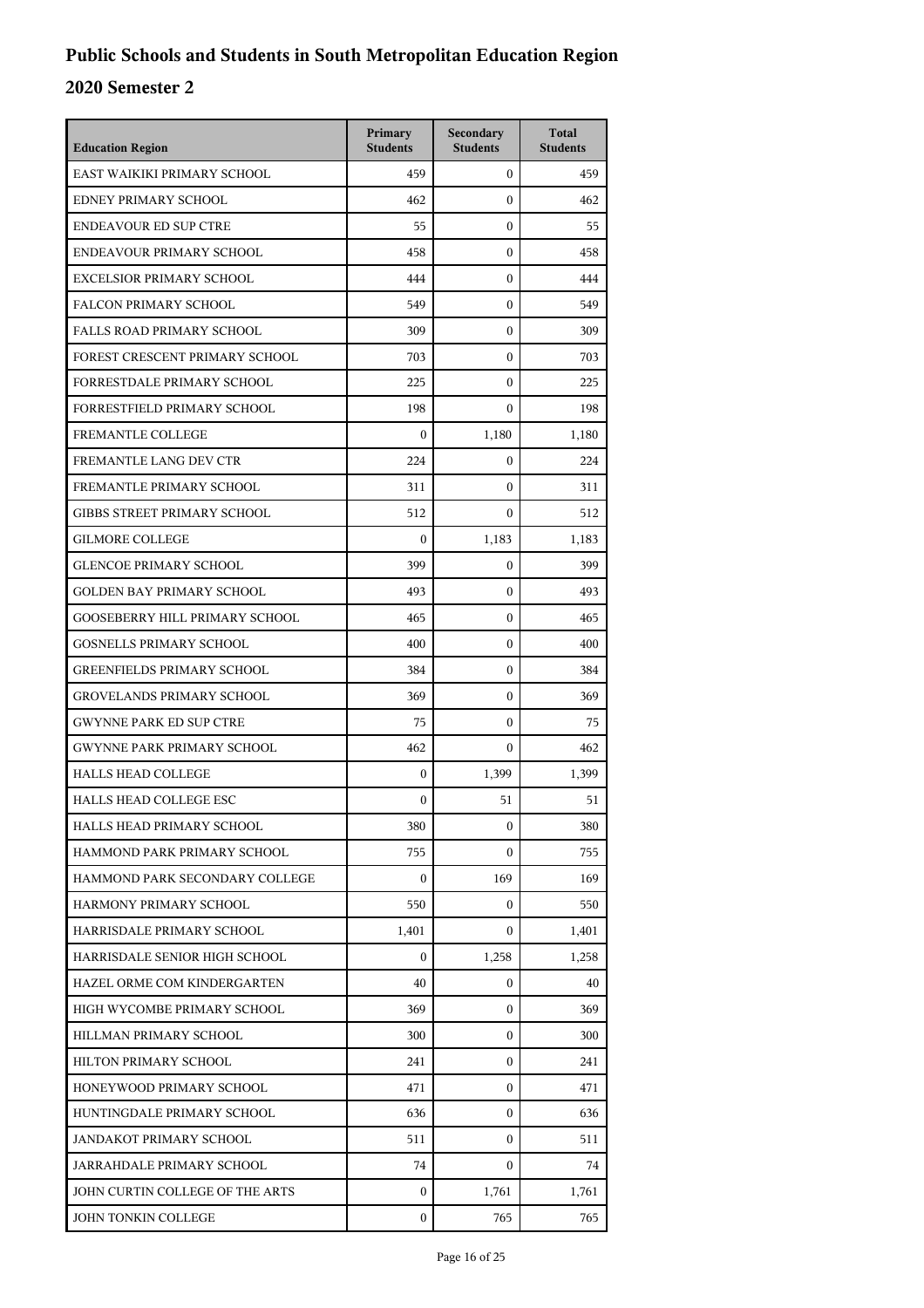| <b>Education Region</b>               | Primary<br><b>Students</b> | Secondary<br><b>Students</b> | <b>Total</b><br><b>Students</b> |
|---------------------------------------|----------------------------|------------------------------|---------------------------------|
| EAST WAIKIKI PRIMARY SCHOOL           | 459                        | $\mathbf{0}$                 | 459                             |
| EDNEY PRIMARY SCHOOL                  | 462                        | $\mathbf{0}$                 | 462                             |
| <b>ENDEAVOUR ED SUP CTRE</b>          | 55                         | $\mathbf{0}$                 | 55                              |
| ENDEAVOUR PRIMARY SCHOOL              | 458                        | $\mathbf{0}$                 | 458                             |
| EXCELSIOR PRIMARY SCHOOL              | 444                        | $\mathbf{0}$                 | 444                             |
| FALCON PRIMARY SCHOOL                 | 549                        | $\mathbf{0}$                 | 549                             |
| <b>FALLS ROAD PRIMARY SCHOOL</b>      | 309                        | $\mathbf{0}$                 | 309                             |
| FOREST CRESCENT PRIMARY SCHOOL        | 703                        | $\mathbf{0}$                 | 703                             |
| FORRESTDALE PRIMARY SCHOOL            | 225                        | $\mathbf{0}$                 | 225                             |
| FORRESTFIELD PRIMARY SCHOOL           | 198                        | $\mathbf{0}$                 | 198                             |
| FREMANTLE COLLEGE                     | $\boldsymbol{0}$           | 1,180                        | 1,180                           |
| FREMANTLE LANG DEV CTR                | 224                        | $\mathbf{0}$                 | 224                             |
| FREMANTLE PRIMARY SCHOOL              | 311                        | $\mathbf{0}$                 | 311                             |
| <b>GIBBS STREET PRIMARY SCHOOL</b>    | 512                        | $\mathbf{0}$                 | 512                             |
| <b>GILMORE COLLEGE</b>                | $\boldsymbol{0}$           | 1,183                        | 1,183                           |
| <b>GLENCOE PRIMARY SCHOOL</b>         | 399                        | $\mathbf{0}$                 | 399                             |
| <b>GOLDEN BAY PRIMARY SCHOOL</b>      | 493                        | $\mathbf{0}$                 | 493                             |
| <b>GOOSEBERRY HILL PRIMARY SCHOOL</b> | 465                        | $\mathbf{0}$                 | 465                             |
| <b>GOSNELLS PRIMARY SCHOOL</b>        | 400                        | $\mathbf{0}$                 | 400                             |
| <b>GREENFIELDS PRIMARY SCHOOL</b>     | 384                        | $\mathbf{0}$                 | 384                             |
| <b>GROVELANDS PRIMARY SCHOOL</b>      | 369                        | $\mathbf{0}$                 | 369                             |
| <b>GWYNNE PARK ED SUP CTRE</b>        | 75                         | $\mathbf{0}$                 | 75                              |
| <b>GWYNNE PARK PRIMARY SCHOOL</b>     | 462                        | $\mathbf{0}$                 | 462                             |
| <b>HALLS HEAD COLLEGE</b>             | $\boldsymbol{0}$           | 1,399                        | 1,399                           |
| <b>HALLS HEAD COLLEGE ESC</b>         | $\boldsymbol{0}$           | 51                           | 51                              |
| HALLS HEAD PRIMARY SCHOOL             | 380                        | $\boldsymbol{0}$             | 380                             |
| HAMMOND PARK PRIMARY SCHOOL           | 755                        | $\mathbf{0}$                 | 755                             |
| HAMMOND PARK SECONDARY COLLEGE        | $\mathbf{0}$               | 169                          | 169                             |
| HARMONY PRIMARY SCHOOL                | 550                        | 0                            | 550                             |
| HARRISDALE PRIMARY SCHOOL             | 1,401                      | $\mathbf{0}$                 | 1,401                           |
| HARRISDALE SENIOR HIGH SCHOOL         | $\mathbf{0}$               | 1,258                        | 1,258                           |
| HAZEL ORME COM KINDERGARTEN           | 40                         | 0                            | 40                              |
| HIGH WYCOMBE PRIMARY SCHOOL           | 369                        | $\mathbf{0}$                 | 369                             |
| HILLMAN PRIMARY SCHOOL                | 300                        | 0                            | 300                             |
| HILTON PRIMARY SCHOOL                 | 241                        | $\mathbf{0}$                 | 241                             |
| HONEYWOOD PRIMARY SCHOOL              | 471                        | 0                            | 471                             |
| HUNTINGDALE PRIMARY SCHOOL            | 636                        | $\mathbf{0}$                 | 636                             |
| JANDAKOT PRIMARY SCHOOL               | 511                        | $\mathbf{0}$                 | 511                             |
| JARRAHDALE PRIMARY SCHOOL             | 74                         | 0                            | 74                              |
| JOHN CURTIN COLLEGE OF THE ARTS       | $\mathbf{0}$               | 1,761                        | 1,761                           |
| JOHN TONKIN COLLEGE                   | $\mathbf{0}$               | 765                          | 765                             |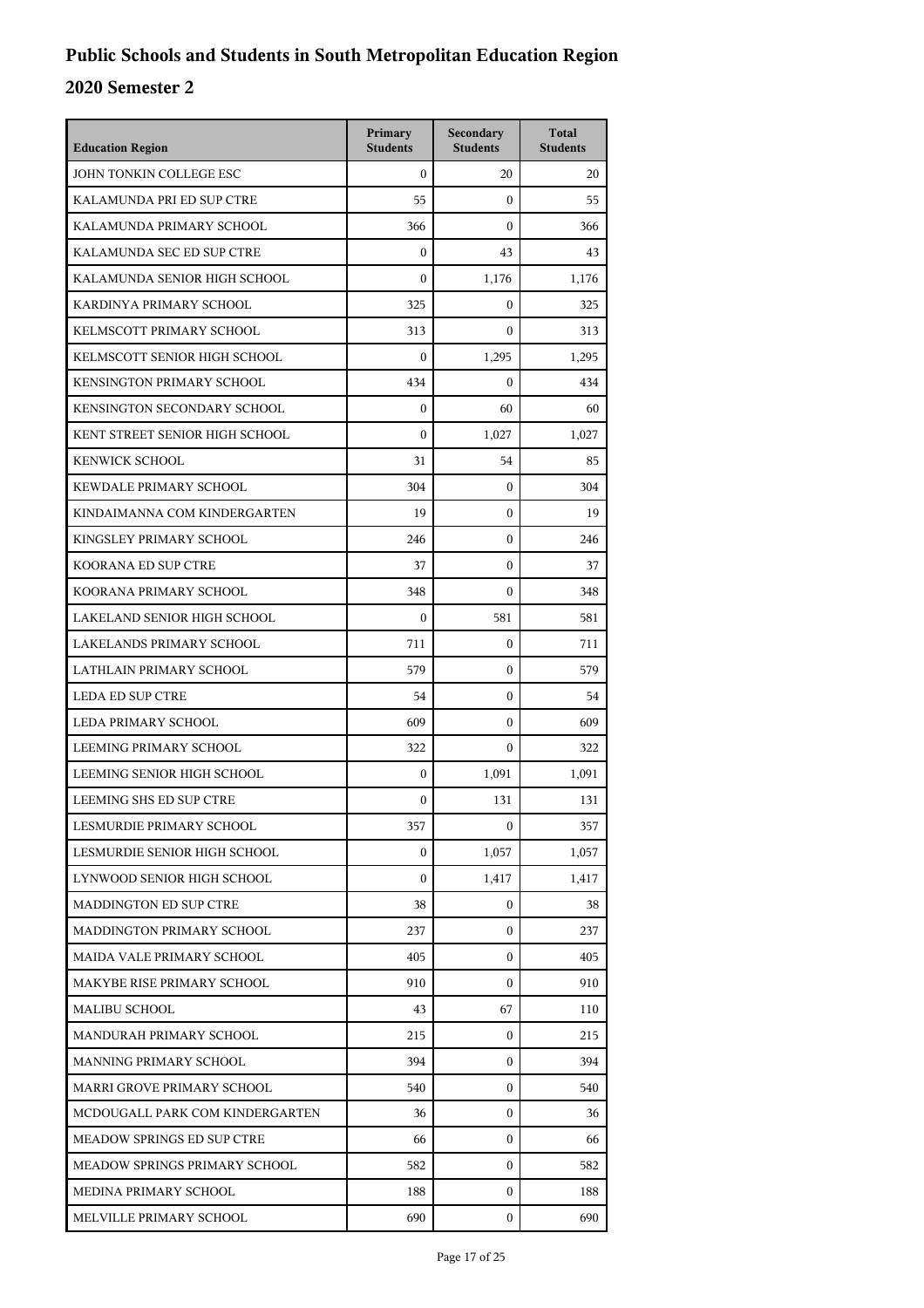| <b>Education Region</b>         | Primary<br><b>Students</b> | Secondary<br><b>Students</b> | <b>Total</b><br><b>Students</b> |
|---------------------------------|----------------------------|------------------------------|---------------------------------|
| JOHN TONKIN COLLEGE ESC         | $\mathbf{0}$               | 20                           | 20                              |
| KALAMUNDA PRI ED SUP CTRE       | 55                         | $\mathbf{0}$                 | 55                              |
| KALAMUNDA PRIMARY SCHOOL        | 366                        | $\mathbf{0}$                 | 366                             |
| KALAMUNDA SEC ED SUP CTRE       | $\boldsymbol{0}$           | 43                           | 43                              |
| KALAMUNDA SENIOR HIGH SCHOOL    | $\Omega$                   | 1,176                        | 1,176                           |
| KARDINYA PRIMARY SCHOOL         | 325                        | $\mathbf{0}$                 | 325                             |
| KELMSCOTT PRIMARY SCHOOL        | 313                        | $\mathbf{0}$                 | 313                             |
| KELMSCOTT SENIOR HIGH SCHOOL    | $\mathbf{0}$               | 1,295                        | 1,295                           |
| KENSINGTON PRIMARY SCHOOL       | 434                        | $\mathbf{0}$                 | 434                             |
| KENSINGTON SECONDARY SCHOOL     | $\mathbf{0}$               | 60                           | 60                              |
| KENT STREET SENIOR HIGH SCHOOL  | $\mathbf{0}$               | 1,027                        | 1,027                           |
| <b>KENWICK SCHOOL</b>           | 31                         | 54                           | 85                              |
| KEWDALE PRIMARY SCHOOL          | 304                        | $\mathbf{0}$                 | 304                             |
| KINDAIMANNA COM KINDERGARTEN    | 19                         | $\mathbf{0}$                 | 19                              |
| KINGSLEY PRIMARY SCHOOL         | 246                        | $\mathbf{0}$                 | 246                             |
| <b>KOORANA ED SUP CTRE</b>      | 37                         | $\mathbf{0}$                 | 37                              |
| KOORANA PRIMARY SCHOOL          | 348                        | $\mathbf{0}$                 | 348                             |
| LAKELAND SENIOR HIGH SCHOOL     | $\mathbf{0}$               | 581                          | 581                             |
| LAKELANDS PRIMARY SCHOOL        | 711                        | $\mathbf{0}$                 | 711                             |
| LATHLAIN PRIMARY SCHOOL         | 579                        | $\mathbf{0}$                 | 579                             |
| <b>LEDA ED SUP CTRE</b>         | 54                         | $\mathbf{0}$                 | 54                              |
| LEDA PRIMARY SCHOOL             | 609                        | $\mathbf{0}$                 | 609                             |
| LEEMING PRIMARY SCHOOL          | 322                        | $\mathbf{0}$                 | 322                             |
| LEEMING SENIOR HIGH SCHOOL      | $\mathbf{0}$               | 1,091                        | 1,091                           |
| LEEMING SHS ED SUP CTRE         | $\mathbf{0}$               | 131                          | 131                             |
| LESMURDIE PRIMARY SCHOOL        | 357                        | 0                            | 357                             |
| LESMURDIE SENIOR HIGH SCHOOL    | $\mathbf{0}$               | 1,057                        | 1,057                           |
| LYNWOOD SENIOR HIGH SCHOOL      | $\mathbf{0}$               | 1,417                        | 1,417                           |
| <b>MADDINGTON ED SUP CTRE</b>   | 38                         | 0                            | 38                              |
| MADDINGTON PRIMARY SCHOOL       | 237                        | $\mathbf{0}$                 | 237                             |
| MAIDA VALE PRIMARY SCHOOL       | 405                        | $\mathbf{0}$                 | 405                             |
| MAKYBE RISE PRIMARY SCHOOL      | 910                        | $\mathbf{0}$                 | 910                             |
| <b>MALIBU SCHOOL</b>            | 43                         | 67                           | 110                             |
| MANDURAH PRIMARY SCHOOL         | 215                        | 0                            | 215                             |
| MANNING PRIMARY SCHOOL          | 394                        | $\mathbf{0}$                 | 394                             |
| MARRI GROVE PRIMARY SCHOOL      | 540                        | $\mathbf{0}$                 | 540                             |
| MCDOUGALL PARK COM KINDERGARTEN | 36                         | $\mathbf{0}$                 | 36                              |
| MEADOW SPRINGS ED SUP CTRE      | 66                         | $\mathbf{0}$                 | 66                              |
| MEADOW SPRINGS PRIMARY SCHOOL   | 582                        | $\mathbf{0}$                 | 582                             |
| MEDINA PRIMARY SCHOOL           | 188                        | $\mathbf{0}$                 | 188                             |
| MELVILLE PRIMARY SCHOOL         | 690                        | $\mathbf{0}$                 | 690                             |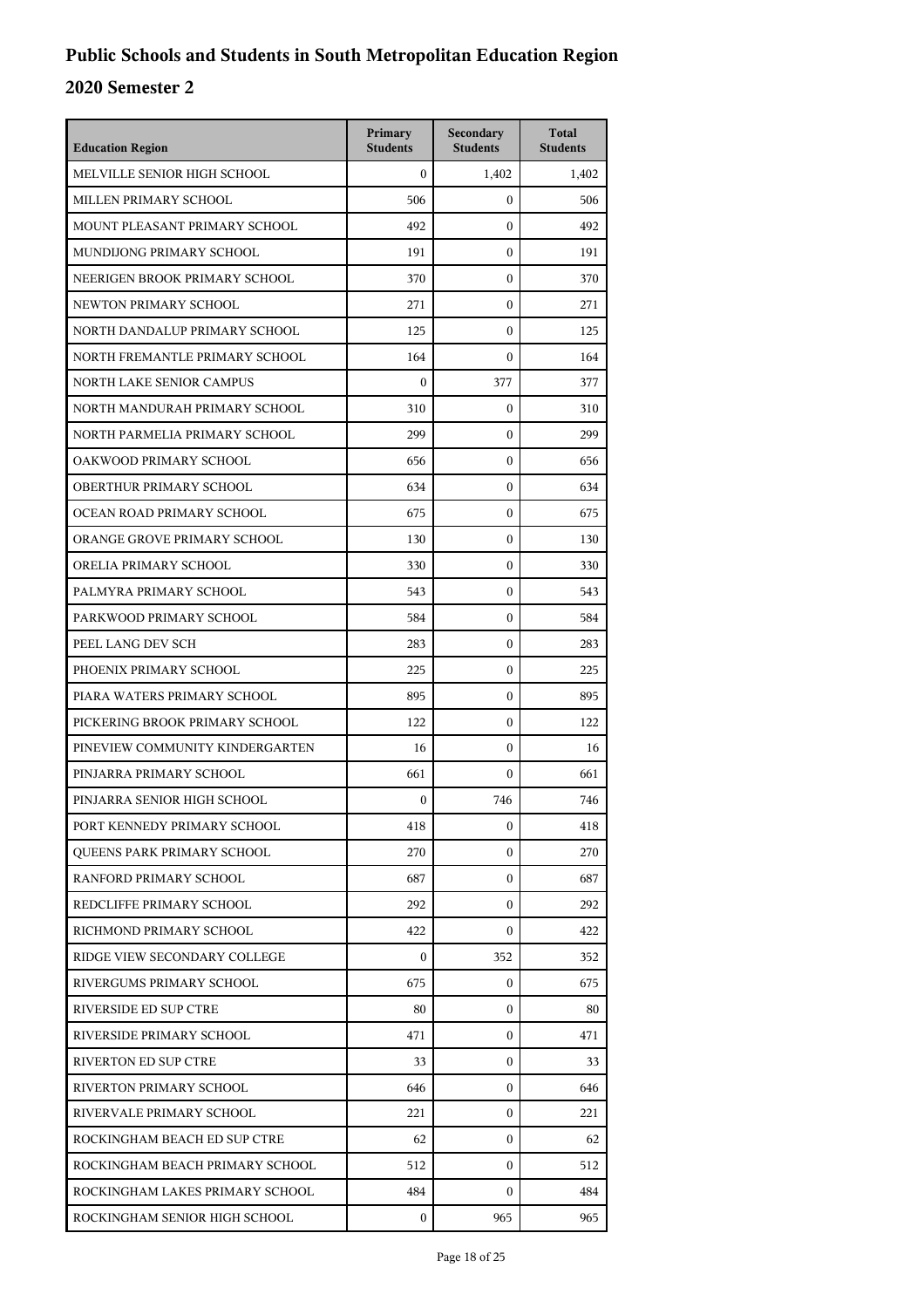| <b>Education Region</b>           | Primary<br><b>Students</b> | Secondary<br><b>Students</b> | <b>Total</b><br><b>Students</b> |
|-----------------------------------|----------------------------|------------------------------|---------------------------------|
| MELVILLE SENIOR HIGH SCHOOL       | $\mathbf{0}$               | 1,402                        | 1.402                           |
| MILLEN PRIMARY SCHOOL             | 506                        | $\mathbf{0}$                 | 506                             |
| MOUNT PLEASANT PRIMARY SCHOOL     | 492                        | $\mathbf{0}$                 | 492                             |
| MUNDIJONG PRIMARY SCHOOL          | 191                        | $\mathbf{0}$                 | 191                             |
| NEERIGEN BROOK PRIMARY SCHOOL     | 370                        | $\mathbf{0}$                 | 370                             |
| NEWTON PRIMARY SCHOOL             | 271                        | $\mathbf{0}$                 | 271                             |
| NORTH DANDALUP PRIMARY SCHOOL     | 125                        | $\mathbf{0}$                 | 125                             |
| NORTH FREMANTLE PRIMARY SCHOOL    | 164                        | $\mathbf{0}$                 | 164                             |
| NORTH LAKE SENIOR CAMPUS          | $\mathbf{0}$               | 377                          | 377                             |
| NORTH MANDURAH PRIMARY SCHOOL     | 310                        | $\mathbf{0}$                 | 310                             |
| NORTH PARMELIA PRIMARY SCHOOL     | 299                        | $\mathbf{0}$                 | 299                             |
| OAKWOOD PRIMARY SCHOOL            | 656                        | $\mathbf{0}$                 | 656                             |
| OBERTHUR PRIMARY SCHOOL           | 634                        | $\mathbf{0}$                 | 634                             |
| OCEAN ROAD PRIMARY SCHOOL         | 675                        | $\mathbf{0}$                 | 675                             |
| ORANGE GROVE PRIMARY SCHOOL       | 130                        | $\mathbf{0}$                 | 130                             |
| ORELIA PRIMARY SCHOOL             | 330                        | $\mathbf{0}$                 | 330                             |
| PALMYRA PRIMARY SCHOOL            | 543                        | $\mathbf{0}$                 | 543                             |
| PARKWOOD PRIMARY SCHOOL           | 584                        | $\mathbf{0}$                 | 584                             |
| PEEL LANG DEV SCH                 | 283                        | $\mathbf{0}$                 | 283                             |
| PHOENIX PRIMARY SCHOOL            | 225                        | $\mathbf{0}$                 | 225                             |
| PIARA WATERS PRIMARY SCHOOL       | 895                        | $\mathbf{0}$                 | 895                             |
| PICKERING BROOK PRIMARY SCHOOL    | 122                        | $\mathbf{0}$                 | 122                             |
| PINEVIEW COMMUNITY KINDERGARTEN   | 16                         | $\mathbf{0}$                 | 16                              |
| PINJARRA PRIMARY SCHOOL           | 661                        | $\mathbf{0}$                 | 661                             |
| PINJARRA SENIOR HIGH SCHOOL       | $\mathbf{0}$               | 746                          | 746                             |
| PORT KENNEDY PRIMARY SCHOOL       | 418                        | 0                            | 418                             |
| <b>OUEENS PARK PRIMARY SCHOOL</b> | 270                        | $\mathbf{0}$                 | 270                             |
| RANFORD PRIMARY SCHOOL            | 687                        | $\mathbf{0}$                 | 687                             |
| REDCLIFFE PRIMARY SCHOOL          | 292                        | 0                            | 292                             |
| RICHMOND PRIMARY SCHOOL           | 422                        | $\mathbf{0}$                 | 422                             |
| RIDGE VIEW SECONDARY COLLEGE      | $\mathbf{0}$               | 352                          | 352                             |
| RIVERGUMS PRIMARY SCHOOL          | 675                        | $\mathbf{0}$                 | 675                             |
| RIVERSIDE ED SUP CTRE             | 80                         | $\mathbf{0}$                 | 80                              |
| RIVERSIDE PRIMARY SCHOOL          | 471                        | $\mathbf{0}$                 | 471                             |
| <b>RIVERTON ED SUP CTRE</b>       | 33                         | $\mathbf{0}$                 | 33                              |
| RIVERTON PRIMARY SCHOOL           | 646                        | $\mathbf{0}$                 | 646                             |
| RIVERVALE PRIMARY SCHOOL          | 221                        | $\mathbf{0}$                 | 221                             |
| ROCKINGHAM BEACH ED SUP CTRE      | 62                         | $\mathbf{0}$                 | 62                              |
| ROCKINGHAM BEACH PRIMARY SCHOOL   | 512                        | $\mathbf{0}$                 | 512                             |
| ROCKINGHAM LAKES PRIMARY SCHOOL   | 484                        | $\mathbf{0}$                 | 484                             |
| ROCKINGHAM SENIOR HIGH SCHOOL     | $\mathbf{0}$               | 965                          | 965                             |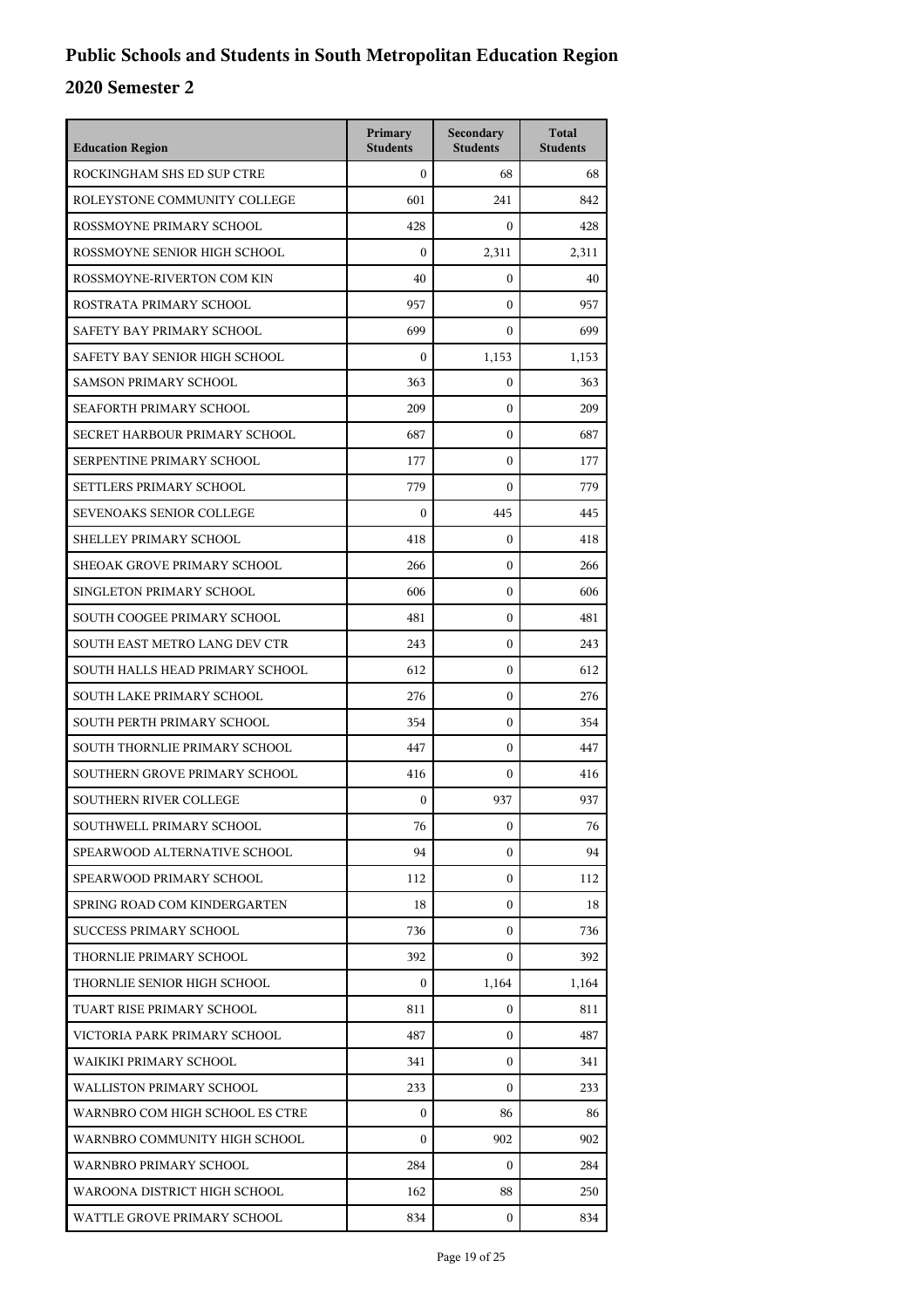| <b>Education Region</b>         | Primary<br><b>Students</b> | Secondary<br><b>Students</b> | <b>Total</b><br><b>Students</b> |
|---------------------------------|----------------------------|------------------------------|---------------------------------|
| ROCKINGHAM SHS ED SUP CTRE      | $\mathbf{0}$               | 68                           | 68                              |
| ROLEYSTONE COMMUNITY COLLEGE    | 601                        | 241                          | 842                             |
| ROSSMOYNE PRIMARY SCHOOL        | 428                        | $\Omega$                     | 428                             |
| ROSSMOYNE SENIOR HIGH SCHOOL    | $\mathbf{0}$               | 2,311                        | 2,311                           |
| ROSSMOYNE-RIVERTON COM KIN      | 40                         | 0                            | 40                              |
| ROSTRATA PRIMARY SCHOOL         | 957                        | $\mathbf{0}$                 | 957                             |
| SAFETY BAY PRIMARY SCHOOL       | 699                        | $\theta$                     | 699                             |
| SAFETY BAY SENIOR HIGH SCHOOL   | $\mathbf{0}$               | 1,153                        | 1,153                           |
| <b>SAMSON PRIMARY SCHOOL</b>    | 363                        | $\mathbf{0}$                 | 363                             |
| SEAFORTH PRIMARY SCHOOL         | 209                        | 0                            | 209                             |
| SECRET HARBOUR PRIMARY SCHOOL   | 687                        | $\mathbf{0}$                 | 687                             |
| SERPENTINE PRIMARY SCHOOL       | 177                        | $\mathbf{0}$                 | 177                             |
| SETTLERS PRIMARY SCHOOL         | 779                        | $\theta$                     | 779                             |
| SEVENOAKS SENIOR COLLEGE        | $\mathbf{0}$               | 445                          | 445                             |
| SHELLEY PRIMARY SCHOOL          | 418                        | $\mathbf{0}$                 | 418                             |
| SHEOAK GROVE PRIMARY SCHOOL     | 266                        | $\mathbf{0}$                 | 266                             |
| SINGLETON PRIMARY SCHOOL        | 606                        | 0                            | 606                             |
| SOUTH COOGEE PRIMARY SCHOOL     | 481                        | $\mathbf{0}$                 | 481                             |
| SOUTH EAST METRO LANG DEV CTR   | 243                        | $\overline{0}$               | 243                             |
| SOUTH HALLS HEAD PRIMARY SCHOOL | 612                        | $\mathbf{0}$                 | 612                             |
| SOUTH LAKE PRIMARY SCHOOL       | 276                        | $\mathbf{0}$                 | 276                             |
| SOUTH PERTH PRIMARY SCHOOL      | 354                        | 0                            | 354                             |
| SOUTH THORNLIE PRIMARY SCHOOL   | 447                        | $\mathbf{0}$                 | 447                             |
| SOUTHERN GROVE PRIMARY SCHOOL   | 416                        | 0                            | 416                             |
| <b>SOUTHERN RIVER COLLEGE</b>   | $\mathbf{0}$               | 937                          | 937                             |
| SOUTHWELL PRIMARY SCHOOL        | 76                         | 0                            | 76                              |
| SPEARWOOD ALTERNATIVE SCHOOL    | 94                         | 0                            | 94                              |
| SPEARWOOD PRIMARY SCHOOL        | 112                        | $\mathbf{0}$                 | 112                             |
| SPRING ROAD COM KINDERGARTEN    | 18                         | 0                            | 18                              |
| <b>SUCCESS PRIMARY SCHOOL</b>   | 736                        | $\mathbf{0}$                 | 736                             |
| THORNLIE PRIMARY SCHOOL         | 392                        | 0                            | 392                             |
| THORNLIE SENIOR HIGH SCHOOL     | $\mathbf{0}$               | 1,164                        | 1,164                           |
| TUART RISE PRIMARY SCHOOL       | 811                        | $\mathbf{0}$                 | 811                             |
| VICTORIA PARK PRIMARY SCHOOL    | 487                        | 0                            | 487                             |
| WAIKIKI PRIMARY SCHOOL          | 341                        | $\mathbf{0}$                 | 341                             |
| <b>WALLISTON PRIMARY SCHOOL</b> | 233                        | 0                            | 233                             |
| WARNBRO COM HIGH SCHOOL ES CTRE | $\mathbf{0}$               | 86                           | 86                              |
| WARNBRO COMMUNITY HIGH SCHOOL   | $\mathbf{0}$               | 902                          | 902                             |
| WARNBRO PRIMARY SCHOOL          | 284                        | 0                            | 284                             |
| WAROONA DISTRICT HIGH SCHOOL    | 162                        | 88                           | 250                             |
| WATTLE GROVE PRIMARY SCHOOL     | 834                        | 0                            | 834                             |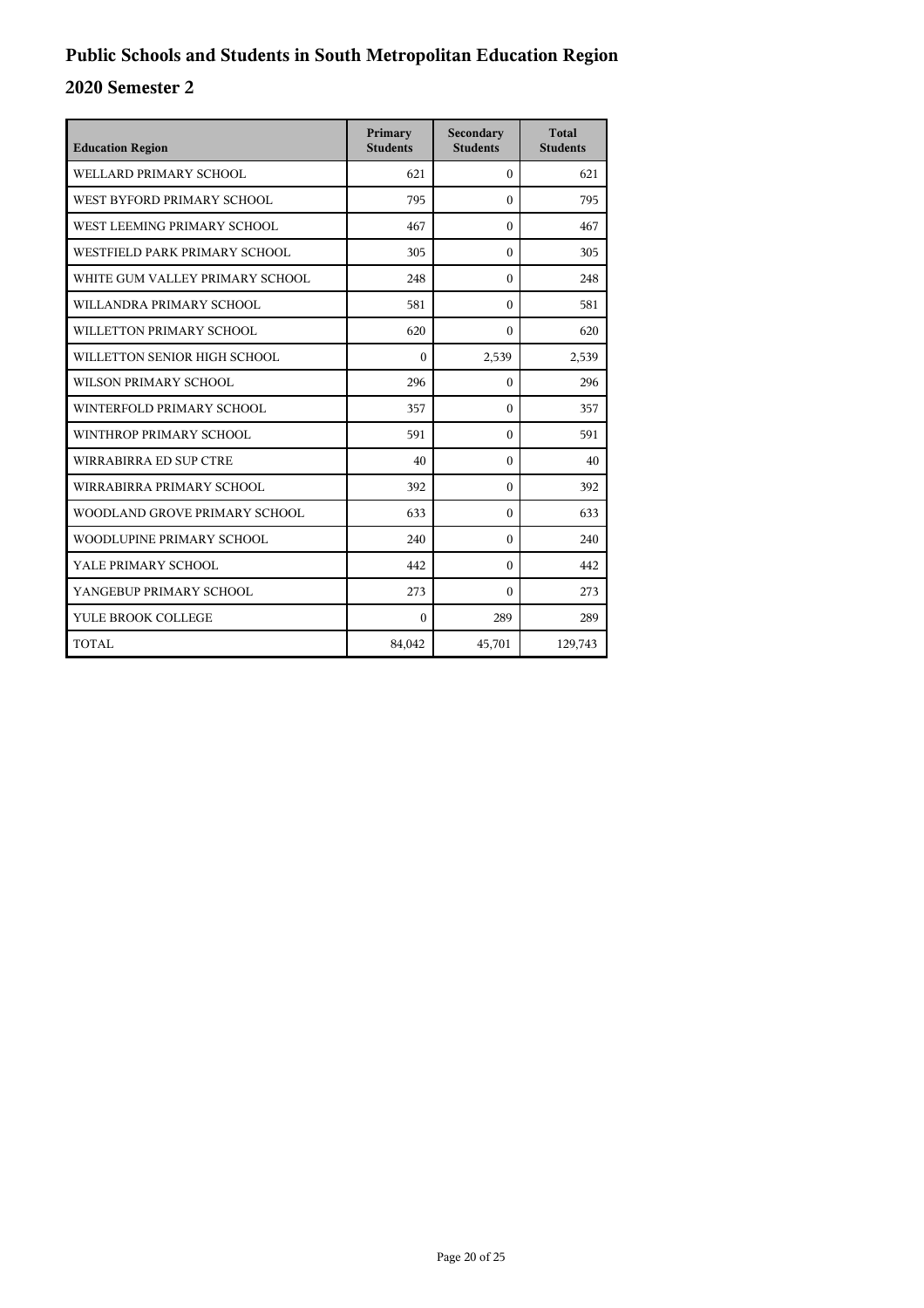| <b>Education Region</b>         | Primary<br><b>Students</b> | Secondary<br><b>Students</b> | <b>Total</b><br><b>Students</b> |
|---------------------------------|----------------------------|------------------------------|---------------------------------|
| WELLARD PRIMARY SCHOOL          | 621                        | $\mathbf{0}$                 | 621                             |
| WEST BYFORD PRIMARY SCHOOL      | 795                        | $\theta$                     | 795                             |
| WEST LEEMING PRIMARY SCHOOL     | 467                        | $\Omega$                     | 467                             |
| WESTFIELD PARK PRIMARY SCHOOL   | 305                        | $\theta$                     | 305                             |
| WHITE GUM VALLEY PRIMARY SCHOOL | 248                        | $\Omega$                     | 248                             |
| WILLANDRA PRIMARY SCHOOL        | 581                        | $\theta$                     | 581                             |
| WILLETTON PRIMARY SCHOOL        | 620                        | $\theta$                     | 620                             |
| WILLETTON SENIOR HIGH SCHOOL    | $\Omega$                   | 2,539                        | 2,539                           |
| WILSON PRIMARY SCHOOL           | 296                        | $\theta$                     | 296                             |
| WINTERFOLD PRIMARY SCHOOL       | 357                        | $\Omega$                     | 357                             |
| WINTHROP PRIMARY SCHOOL         | 591                        | $\theta$                     | 591                             |
| WIRRABIRRA ED SUP CTRE          | 40                         | 0                            | 40                              |
| WIRRABIRRA PRIMARY SCHOOL       | 392                        | $\Omega$                     | 392                             |
| WOODLAND GROVE PRIMARY SCHOOL   | 633                        | $\Omega$                     | 633                             |
| WOODLUPINE PRIMARY SCHOOL       | 240                        | $\Omega$                     | 240                             |
| YALE PRIMARY SCHOOL             | 442                        | $\theta$                     | 442                             |
| YANGEBUP PRIMARY SCHOOL         | 273                        | $\Omega$                     | 273                             |
| YULE BROOK COLLEGE              | $\Omega$                   | 289                          | 289                             |
| TOTAL                           | 84,042                     | 45,701                       | 129,743                         |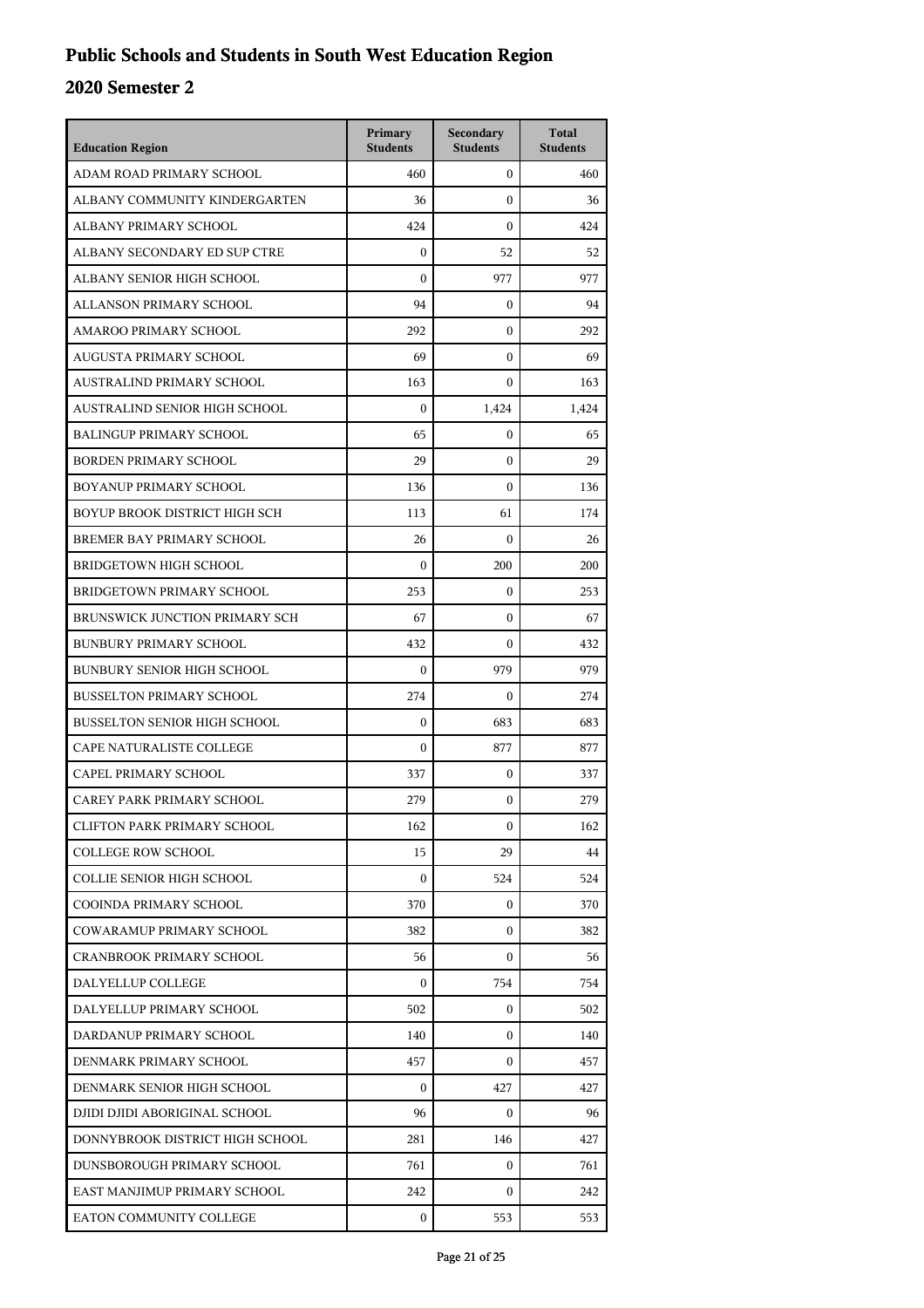| <b>Education Region</b>             | Primary<br><b>Students</b> | Secondary<br><b>Students</b> | <b>Total</b><br><b>Students</b> |
|-------------------------------------|----------------------------|------------------------------|---------------------------------|
| ADAM ROAD PRIMARY SCHOOL            | 460                        | $\mathbf{0}$                 | 460                             |
| ALBANY COMMUNITY KINDERGARTEN       | 36                         | $\mathbf{0}$                 | 36                              |
| ALBANY PRIMARY SCHOOL               | 424                        | $\mathbf{0}$                 | 424                             |
| ALBANY SECONDARY ED SUP CTRE        | $\boldsymbol{0}$           | 52                           | 52                              |
| ALBANY SENIOR HIGH SCHOOL           | $\theta$                   | 977                          | 977                             |
| ALLANSON PRIMARY SCHOOL             | 94                         | $\mathbf{0}$                 | 94                              |
| AMAROO PRIMARY SCHOOL               | 292                        | $\boldsymbol{0}$             | 292                             |
| AUGUSTA PRIMARY SCHOOL              | 69                         | $\boldsymbol{0}$             | 69                              |
| AUSTRALIND PRIMARY SCHOOL           | 163                        | $\boldsymbol{0}$             | 163                             |
| AUSTRALIND SENIOR HIGH SCHOOL       | $\theta$                   | 1,424                        | 1,424                           |
| <b>BALINGUP PRIMARY SCHOOL</b>      | 65                         | $\mathbf{0}$                 | 65                              |
| <b>BORDEN PRIMARY SCHOOL</b>        | 29                         | $\boldsymbol{0}$             | 29                              |
| BOYANUP PRIMARY SCHOOL              | 136                        | $\boldsymbol{0}$             | 136                             |
| BOYUP BROOK DISTRICT HIGH SCH       | 113                        | 61                           | 174                             |
| BREMER BAY PRIMARY SCHOOL           | 26                         | $\boldsymbol{0}$             | 26                              |
| <b>BRIDGETOWN HIGH SCHOOL</b>       | $\theta$                   | 200                          | 200                             |
| BRIDGETOWN PRIMARY SCHOOL           | 253                        | $\boldsymbol{0}$             | 253                             |
| BRUNSWICK JUNCTION PRIMARY SCH      | 67                         | $\boldsymbol{0}$             | 67                              |
| <b>BUNBURY PRIMARY SCHOOL</b>       | 432                        | $\boldsymbol{0}$             | 432                             |
| <b>BUNBURY SENIOR HIGH SCHOOL</b>   | $\boldsymbol{0}$           | 979                          | 979                             |
| <b>BUSSELTON PRIMARY SCHOOL</b>     | 274                        | $\Omega$                     | 274                             |
| <b>BUSSELTON SENIOR HIGH SCHOOL</b> | $\boldsymbol{0}$           | 683                          | 683                             |
| CAPE NATURALISTE COLLEGE            | $\boldsymbol{0}$           | 877                          | 877                             |
| CAPEL PRIMARY SCHOOL                | 337                        | $\boldsymbol{0}$             | 337                             |
| CAREY PARK PRIMARY SCHOOL           | 279                        | $\boldsymbol{0}$             | 279                             |
| <b>CLIFTON PARK PRIMARY SCHOOL</b>  | 162                        | 0                            | 162                             |
| <b>COLLEGE ROW SCHOOL</b>           | 15                         | 29                           | 44                              |
| <b>COLLIE SENIOR HIGH SCHOOL</b>    | $\mathbf{0}$               | 524                          | 524                             |
| COOINDA PRIMARY SCHOOL              | 370                        | 0                            | 370                             |
| COWARAMUP PRIMARY SCHOOL            | 382                        | $\Omega$                     | 382                             |
| <b>CRANBROOK PRIMARY SCHOOL</b>     | 56                         | 0                            | 56                              |
| DALYELLUP COLLEGE                   | $\Omega$                   | 754                          | 754                             |
| DALYELLUP PRIMARY SCHOOL            | 502                        | $\mathbf{0}$                 | 502                             |
| DARDANUP PRIMARY SCHOOL             | 140                        | 0                            | 140                             |
| DENMARK PRIMARY SCHOOL              | 457                        | 0                            | 457                             |
| DENMARK SENIOR HIGH SCHOOL          | 0                          | 427                          | 427                             |
| DJIDI DJIDI ABORIGINAL SCHOOL       | 96                         | $\mathbf{0}$                 | 96                              |
| DONNYBROOK DISTRICT HIGH SCHOOL     | 281                        | 146                          | 427                             |
| DUNSBOROUGH PRIMARY SCHOOL          | 761                        | 0                            | 761                             |
| EAST MANJIMUP PRIMARY SCHOOL        | 242                        | 0                            | 242                             |
| EATON COMMUNITY COLLEGE             | 0                          | 553                          | 553                             |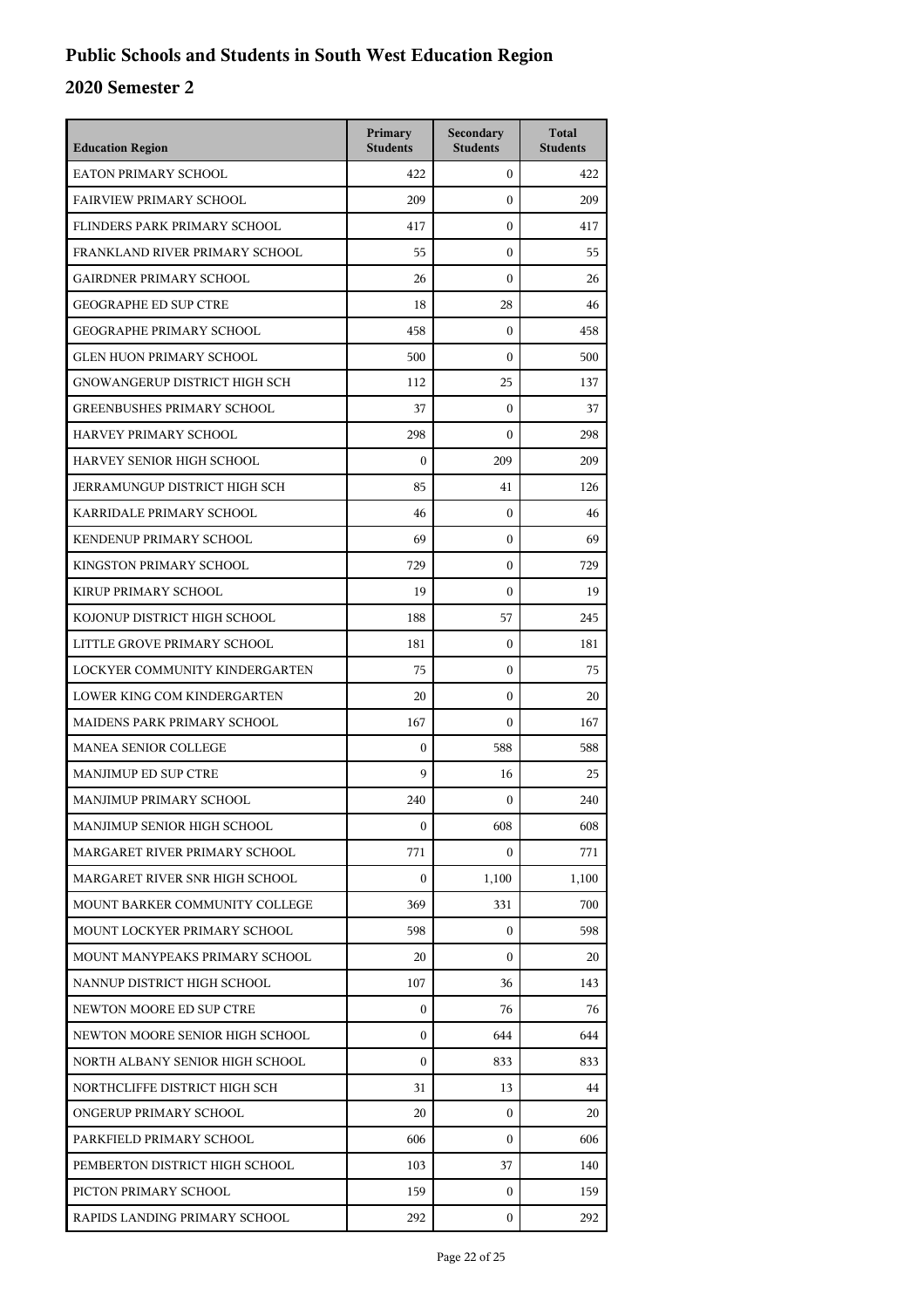| <b>Education Region</b>           | Primary<br><b>Students</b> | Secondary<br><b>Students</b> | <b>Total</b><br><b>Students</b> |
|-----------------------------------|----------------------------|------------------------------|---------------------------------|
| <b>EATON PRIMARY SCHOOL</b>       | 422                        | $\mathbf{0}$                 | 422                             |
| <b>FAIRVIEW PRIMARY SCHOOL</b>    | 209                        | $\theta$                     | 209                             |
| FLINDERS PARK PRIMARY SCHOOL      | 417                        | $\mathbf{0}$                 | 417                             |
| FRANKLAND RIVER PRIMARY SCHOOL    | 55                         | $\boldsymbol{0}$             | 55                              |
| <b>GAIRDNER PRIMARY SCHOOL</b>    | 26                         | $\boldsymbol{0}$             | 26                              |
| <b>GEOGRAPHE ED SUP CTRE</b>      | 18                         | 28                           | 46                              |
| <b>GEOGRAPHE PRIMARY SCHOOL</b>   | 458                        | $\mathbf{0}$                 | 458                             |
| <b>GLEN HUON PRIMARY SCHOOL</b>   | 500                        | $\mathbf{0}$                 | 500                             |
| GNOWANGERUP DISTRICT HIGH SCH     | 112                        | 25                           | 137                             |
| <b>GREENBUSHES PRIMARY SCHOOL</b> | 37                         | $\boldsymbol{0}$             | 37                              |
| HARVEY PRIMARY SCHOOL             | 298                        | $\boldsymbol{0}$             | 298                             |
| HARVEY SENIOR HIGH SCHOOL         | $\mathbf{0}$               | 209                          | 209                             |
| JERRAMUNGUP DISTRICT HIGH SCH     | 85                         | 41                           | 126                             |
| KARRIDALE PRIMARY SCHOOL          | 46                         | $\boldsymbol{0}$             | 46                              |
| KENDENUP PRIMARY SCHOOL           | 69                         | $\boldsymbol{0}$             | 69                              |
| KINGSTON PRIMARY SCHOOL           | 729                        | $\mathbf{0}$                 | 729                             |
| KIRUP PRIMARY SCHOOL              | 19                         | $\mathbf{0}$                 | 19                              |
| KOJONUP DISTRICT HIGH SCHOOL      | 188                        | 57                           | 245                             |
| LITTLE GROVE PRIMARY SCHOOL       | 181                        | $\boldsymbol{0}$             | 181                             |
| LOCKYER COMMUNITY KINDERGARTEN    | 75                         | $\boldsymbol{0}$             | 75                              |
| LOWER KING COM KINDERGARTEN       | 20                         | $\mathbf{0}$                 | 20                              |
| MAIDENS PARK PRIMARY SCHOOL       | 167                        | $\theta$                     | 167                             |
| <b>MANEA SENIOR COLLEGE</b>       | $\mathbf{0}$               | 588                          | 588                             |
| <b>MANJIMUP ED SUP CTRE</b>       | 9                          | 16                           | 25                              |
| MANJIMUP PRIMARY SCHOOL           | 240                        | $\mathbf{0}$                 | 240                             |
| MANJIMUP SENIOR HIGH SCHOOL       | $\boldsymbol{0}$           | 608                          | 608                             |
| MARGARET RIVER PRIMARY SCHOOL     | 771                        | $\Omega$                     | 771                             |
| MARGARET RIVER SNR HIGH SCHOOL    | $\boldsymbol{0}$           | 1,100                        | 1,100                           |
| MOUNT BARKER COMMUNITY COLLEGE    | 369                        | 331                          | 700                             |
| MOUNT LOCKYER PRIMARY SCHOOL      | 598                        | 0                            | 598                             |
| MOUNT MANYPEAKS PRIMARY SCHOOL    | 20                         | $\Omega$                     | 20                              |
| NANNUP DISTRICT HIGH SCHOOL       | 107                        | 36                           | 143                             |
| NEWTON MOORE ED SUP CTRE          | $\boldsymbol{0}$           | 76                           | 76                              |
| NEWTON MOORE SENIOR HIGH SCHOOL   | $\boldsymbol{0}$           | 644                          | 644                             |
| NORTH ALBANY SENIOR HIGH SCHOOL   | 0                          | 833                          | 833                             |
| NORTHCLIFFE DISTRICT HIGH SCH     | 31                         | 13                           | 44                              |
| ONGERUP PRIMARY SCHOOL            | 20                         | 0                            | 20                              |
| PARKFIELD PRIMARY SCHOOL          | 606                        | $\mathbf{0}$                 | 606                             |
| PEMBERTON DISTRICT HIGH SCHOOL    | 103                        | 37                           | 140                             |
| PICTON PRIMARY SCHOOL             | 159                        | $\mathbf{0}$                 | 159                             |
| RAPIDS LANDING PRIMARY SCHOOL     | 292                        | 0                            | 292                             |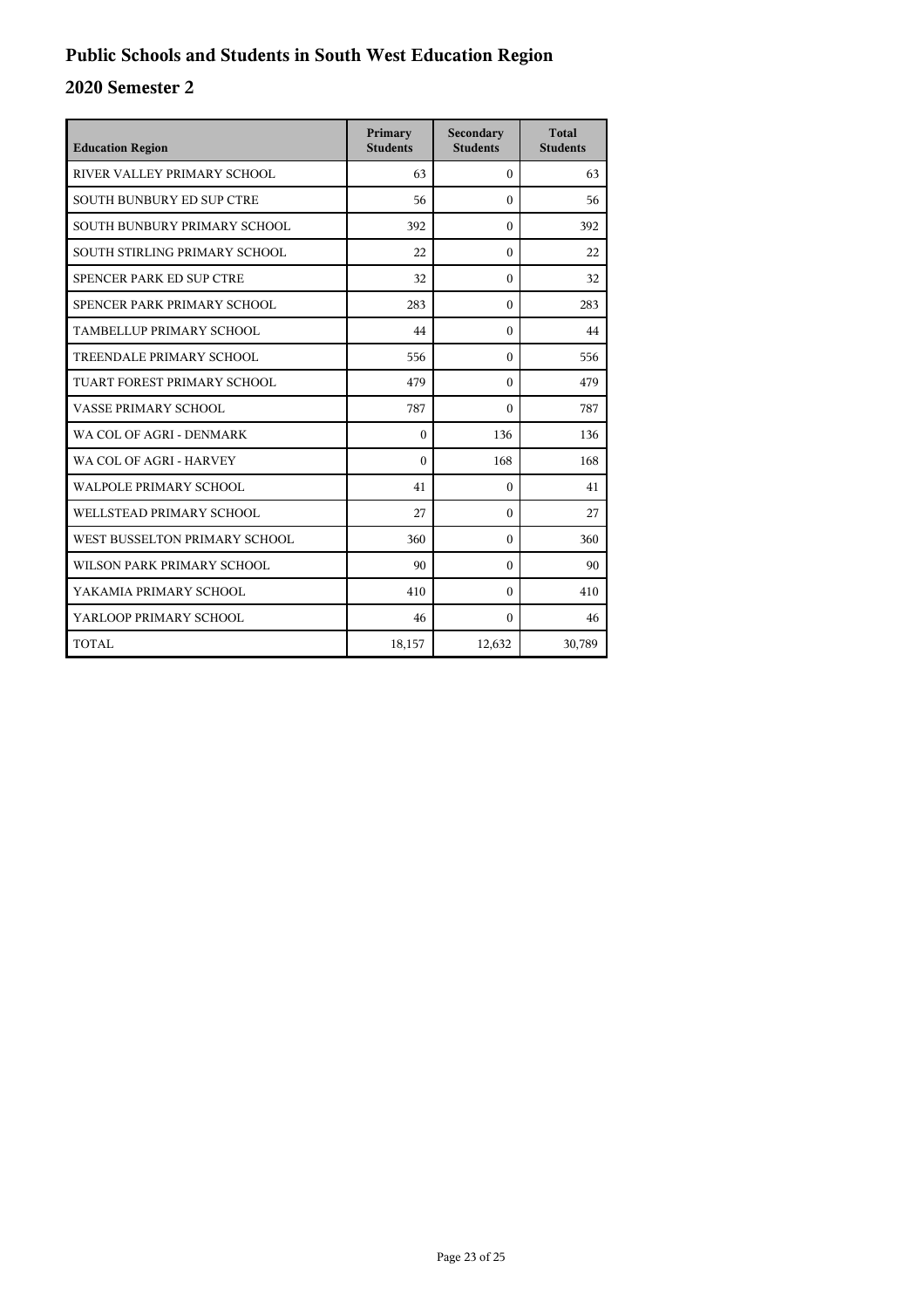| <b>Education Region</b>          | Primary<br><b>Students</b> | Secondary<br><b>Students</b> | <b>Total</b><br><b>Students</b> |
|----------------------------------|----------------------------|------------------------------|---------------------------------|
| RIVER VALLEY PRIMARY SCHOOL      | 63                         | $\Omega$                     | 63                              |
| <b>SOUTH BUNBURY ED SUP CTRE</b> | 56                         | $\Omega$                     | 56                              |
| SOUTH BUNBURY PRIMARY SCHOOL     | 392                        | $\Omega$                     | 392                             |
| SOUTH STIRLING PRIMARY SCHOOL    | 22                         | $\Omega$                     | 22                              |
| SPENCER PARK ED SUP CTRE         | 32                         | $\theta$                     | 32                              |
| SPENCER PARK PRIMARY SCHOOL      | 283                        | $\Omega$                     | 283                             |
| TAMBELLUP PRIMARY SCHOOL         | 44                         | $\theta$                     | 44                              |
| TREENDALE PRIMARY SCHOOL         | 556                        | $\Omega$                     | 556                             |
| TUART FOREST PRIMARY SCHOOL      | 479                        | $\Omega$                     | 479                             |
| VASSE PRIMARY SCHOOL             | 787                        | $\Omega$                     | 787                             |
| WA COL OF AGRI - DENMARK         | $\theta$                   | 136                          | 136                             |
| WA COL OF AGRI - HARVEY          | $\Omega$                   | 168                          | 168                             |
| WALPOLE PRIMARY SCHOOL           | 41                         | $\Omega$                     | 41                              |
| WELLSTEAD PRIMARY SCHOOL         | 27                         | $\Omega$                     | 27                              |
| WEST BUSSELTON PRIMARY SCHOOL    | 360                        | $\Omega$                     | 360                             |
| WILSON PARK PRIMARY SCHOOL       | 90                         | $\Omega$                     | 90                              |
| YAKAMIA PRIMARY SCHOOL           | 410                        | $\Omega$                     | 410                             |
| YARLOOP PRIMARY SCHOOL           | 46                         | $\Omega$                     | 46                              |
| TOTAL                            | 18,157                     | 12,632                       | 30,789                          |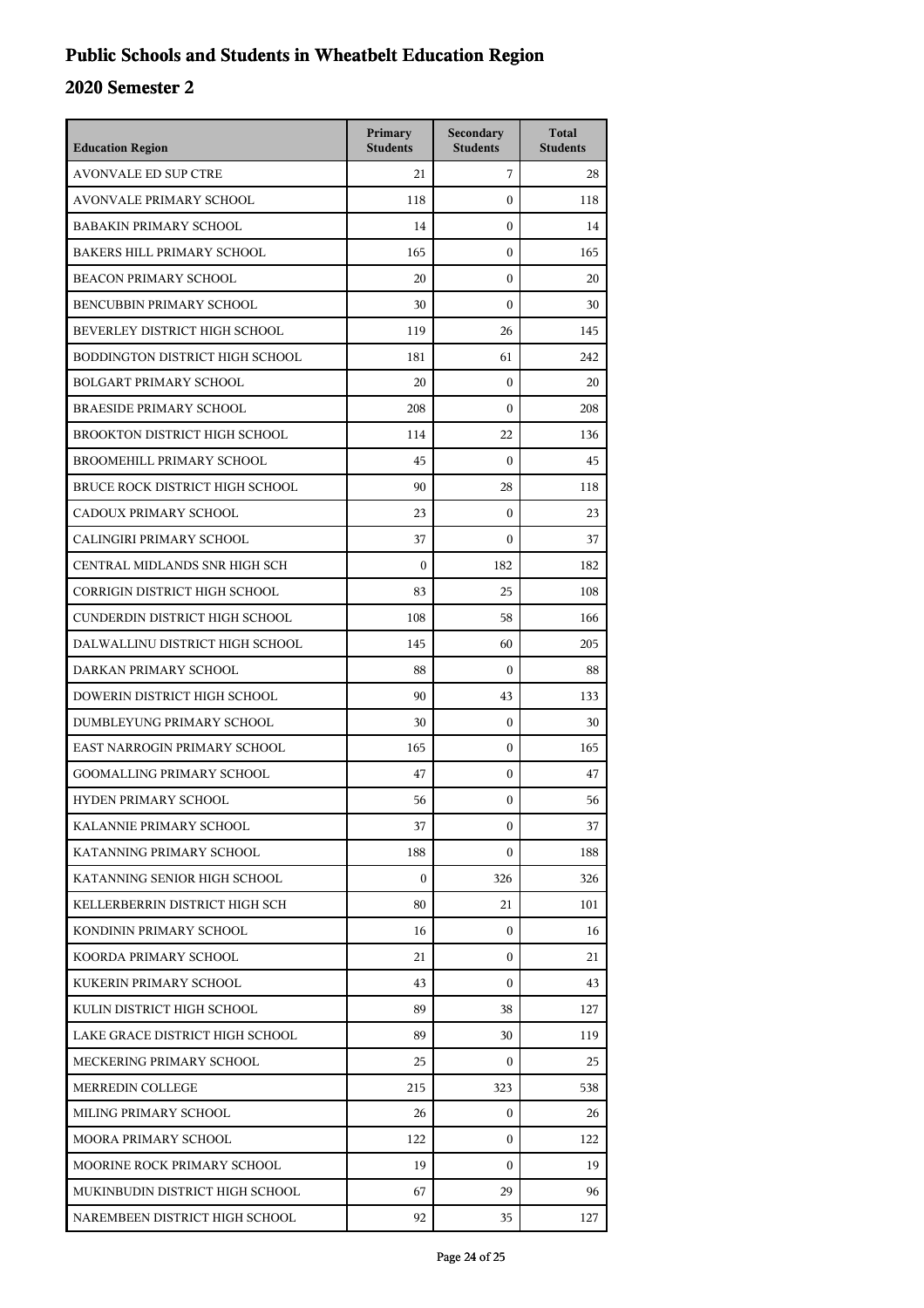## **Public Schools and Students in Wheatbelt Education Region**

| <b>Education Region</b>           | Primary<br><b>Students</b> | Secondary<br><b>Students</b> | <b>Total</b><br><b>Students</b> |
|-----------------------------------|----------------------------|------------------------------|---------------------------------|
| <b>AVONVALE ED SUP CTRE</b>       | 21                         | 7                            | 28                              |
| AVONVALE PRIMARY SCHOOL           | 118                        | $\mathbf{0}$                 | 118                             |
| <b>BABAKIN PRIMARY SCHOOL</b>     | 14                         | $\mathbf{0}$                 | 14                              |
| <b>BAKERS HILL PRIMARY SCHOOL</b> | 165                        | $\mathbf{0}$                 | 165                             |
| <b>BEACON PRIMARY SCHOOL</b>      | 20                         | $\mathbf{0}$                 | 20                              |
| BENCUBBIN PRIMARY SCHOOL          | 30                         | $\boldsymbol{0}$             | 30                              |
| BEVERLEY DISTRICT HIGH SCHOOL     | 119                        | 26                           | 145                             |
| BODDINGTON DISTRICT HIGH SCHOOL   | 181                        | 61                           | 242                             |
| <b>BOLGART PRIMARY SCHOOL</b>     | 20                         | $\mathbf{0}$                 | 20                              |
| <b>BRAESIDE PRIMARY SCHOOL</b>    | 208                        | $\mathbf{0}$                 | 208                             |
| BROOKTON DISTRICT HIGH SCHOOL     | 114                        | 22                           | 136                             |
| <b>BROOMEHILL PRIMARY SCHOOL</b>  | 45                         | $\theta$                     | 45                              |
| BRUCE ROCK DISTRICT HIGH SCHOOL   | 90                         | 28                           | 118                             |
| CADOUX PRIMARY SCHOOL             | 23                         | $\mathbf{0}$                 | 23                              |
| CALINGIRI PRIMARY SCHOOL          | 37                         | $\boldsymbol{0}$             | 37                              |
| CENTRAL MIDLANDS SNR HIGH SCH     | $\mathbf{0}$               | 182                          | 182                             |
| CORRIGIN DISTRICT HIGH SCHOOL     | 83                         | 25                           | 108                             |
| CUNDERDIN DISTRICT HIGH SCHOOL    | 108                        | 58                           | 166                             |
| DALWALLINU DISTRICT HIGH SCHOOL   | 145                        | 60                           | 205                             |
| DARKAN PRIMARY SCHOOL             | 88                         | $\mathbf{0}$                 | 88                              |
| DOWERIN DISTRICT HIGH SCHOOL      | 90                         | 43                           | 133                             |
| DUMBLEYUNG PRIMARY SCHOOL         | 30                         | $\mathbf{0}$                 | 30                              |
| EAST NARROGIN PRIMARY SCHOOL      | 165                        | $\mathbf{0}$                 | 165                             |
| <b>GOOMALLING PRIMARY SCHOOL</b>  | 47                         | $\mathbf{0}$                 | 47                              |
| <b>HYDEN PRIMARY SCHOOL</b>       | 56                         | $\boldsymbol{0}$             | 56                              |
| KALANNIE PRIMARY SCHOOL           | 37                         | $\boldsymbol{0}$             | 37                              |
| KATANNING PRIMARY SCHOOL          | 188                        | $\Omega$                     | 188                             |
| KATANNING SENIOR HIGH SCHOOL      | $\boldsymbol{0}$           | 326                          | 326                             |
| KELLERBERRIN DISTRICT HIGH SCH    | 80                         | 21                           | 101                             |
| KONDININ PRIMARY SCHOOL           | 16                         | $\mathbf{0}$                 | 16                              |
| KOORDA PRIMARY SCHOOL             | 21                         | $\Omega$                     | 21                              |
| KUKERIN PRIMARY SCHOOL            | 43                         | $\Omega$                     | 43                              |
| KULIN DISTRICT HIGH SCHOOL        | 89                         | 38                           | 127                             |
| LAKE GRACE DISTRICT HIGH SCHOOL   | 89                         | 30                           | 119                             |
| MECKERING PRIMARY SCHOOL          | 25                         | $\mathbf{0}$                 | 25                              |
| MERREDIN COLLEGE                  | 215                        | 323                          | 538                             |
| MILING PRIMARY SCHOOL             | 26                         | $\mathbf{0}$                 | 26                              |
| MOORA PRIMARY SCHOOL              | 122                        | $\Omega$                     | 122                             |
| MOORINE ROCK PRIMARY SCHOOL       | 19                         | $\mathbf{0}$                 | 19                              |
| MUKINBUDIN DISTRICT HIGH SCHOOL   | 67                         | 29                           | 96                              |
| NAREMBEEN DISTRICT HIGH SCHOOL    | 92                         | 35                           | 127                             |